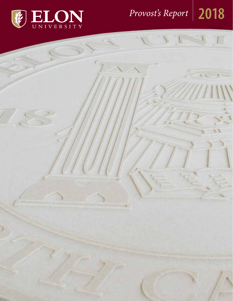

# *Provost's Report* **2018**

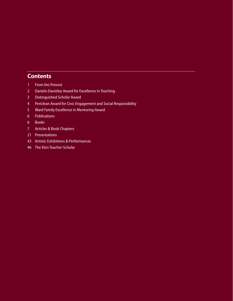# **Contents**

- [From the Provost](#page-2-0)
- [Daniels-Danieley Award for Excellence in Teaching](#page-3-0)
- [Distinguished Scholar Award](#page-4-0)
- [Periclean Award for Civic Engagement and Social Responsibility](#page-5-0)
- [Ward Family Excellence in Mentoring Award](#page-6-0)
- [Publications](#page-7-0)
- [Books](#page-7-0)
- [Articles & Book Chapters](#page-8-0)
- [Presentations](#page-22-0)
- [Artis](#page-44-0)tic Exhibitions & Performances
- [The Elon Teacher-Scholar](#page-47-0)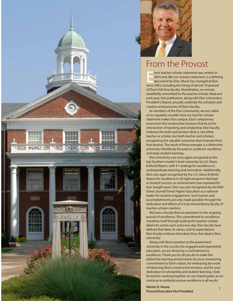<span id="page-2-0"></span>



# From the Provost

lon's teacher-scholar statement was written in<br>
2003 and, like our mission statement, is a definited<br>
document for Elon. Much has changed at Elon<br>
since 2003, including the hiring of almost 70 percent lon's teacher-scholar statement was written in 2003 and, like our mission statement, is a defining document for Elon. Much has changed at Elon of Elon's full-time faculty. Nonetheless, we remain steadfastly committed to the teacher-scholar ideal and each year, this publication, along with Elon University's President's Report, proudly celebrate the scholarly and creative achievements of Elon's faculty.

As members of the Elon community, we are called on to regularly consider how our teacher-scholar statement makes Elon unique. Elon's uniqueness arises from the constructive tensions that lie at the intersection of teaching and scholarship. Elon faculty embrace the both-and tension (that is, not either teacher or scholar, but both teacher and scholar), recognizing the valuable outcomes that emanate from that tension. The result of these energies is a distinctive university relentlessly focused on academic excellence and deep student learning.

Elon University was once again recognized as the top Southern master's-level university by U.S. News & World Report, with #1 rankings for excellence in undergraduate teaching and innovation. Additionally, Elon was again recognized by the U.S. News & World Report for excellence in all eight programs that lead to student success, an achievement now repeated for four straight years. Elon was also recognized by the Wall Street Journal/Times Higher Education as a national leader for student engagement. Such honors and accomplishments are only made possible through the dedication and efforts of a truly extraordinary faculty of teacher-scholar-mentors.

We have a faculty that are persistent in the ongoing pursuit of excellence. This commitment to excellence manifests itself through putting the teacher-scholar ideal into action each and every day. Elon faculty have defined that ideal, its values, and its expectations. Elon faculty embrace that ideal, thus, that ideal is Elon University.

Along with Elon's position as the preeminent university in the country for engaged and experiential education, we are driven by a commitment to excellence. Thank you for all you do to make this distinctive learning environment, for your unwavering commitment to Elon's values, for embracing the work of balancing Elon's constructive tensions, and for your dedication to scholarship and student learning. I look forward to working together on our shared goals, as we continue to restlessly pursue excellence in all we do.

**Steven D. House Provost/Executive Vice President**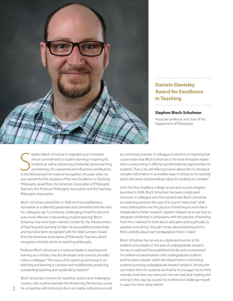<span id="page-3-0"></span>

# **Daniels-Danieley Award for Excellence in Teaching**

### **Stephen Bloch-Schulman**

Associate professor and chair of the Department of Philosophy

tephen Bloch-Schulman is regarded as an innovator<br>whose commitment to student learning is inspiring his<br>students as well as advancing scholarship about teachin<br>and learning. His substantial and influential contribution<br>in tephen Bloch-Schulman is regarded as an innovator whose commitment to student learning is inspiring his students as well as advancing scholarship about teaching and learning. His substantial and influential contributions was named the first recipient of the new Excellence in Teaching Philosophy award from the American Association of Philosophy Teachers, the American Philosophy Association and the Teaching Philosophy Association.

Bloch-Schulman joined Elon in 2006 and has established a reputation as a talented, passionate and committed teacher who his colleagues say "is constantly challenging himself to become even more effective in forwarding student learning." Bloch-Schulman has twice been named a Center for the Advancement of Teaching and Learning Scholar. He has published extensively and has twice been recognized with the Mark Lenssen Award from the American Association of Philosophy Teachers, which recognizes the best article on teaching philosophy.

"Professor Bloch-Schulman is a national leader in teaching and learning as a scholar, a faculty developer and a service provider," notes a colleague. "The nexus of his teaching and research on teaching and learning is complex and multifaceted, producing outstanding teaching and outstanding research."

Bloch-Schulman is known for teaching creative and challenging courses, with a prime example the Reclaiming Democracy course he co-teaches with instructors from six nearby institutions as well

as community activists. A colleague involved in co-teaching that course notes that Bloch-Schulman is "the kind of teacher-leader who is unassuming in offering transformational opportunities for students. That is, his self-effacing humor allows him to introduce complex information in accessible ways. In doing so, he routinely plants the seeds of extraordinary ideas for students to consider."

Since the Elon Academy college access and success program launched in 2008, Bloch-Schulman has been a dedicated instructor. A colleague who first worked with Bloch-Schulman as a teaching assistant the year of its launch notes that "while many philosophers see the practice of teaching as work that is independent of their research, Stephen helped me to see how to integrate scholarship in philosophy with the practice of teaching. From him, I learned to think about education philosophically, to question everything I thought I knew about teaching and to think carefully about each pedagogical choice I make."

Bloch-Schulman has served as a dedicated mentor to his students and a leader in the area of undergraduate research. He has co-authored four published articles and co-presented 14 conference presentations with undergraduate students and has been a leader within the department in mentoring students pursuing undergraduate research projects. Among the comments from his students are that he "encourages me to think critically more than any instructor I've ever had," and "reading and writing in this way has caused me to think and challenge myself in ways I've never done before."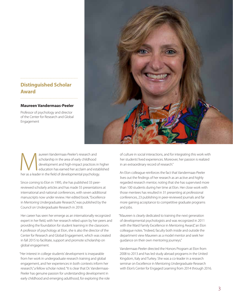# **Distinguished Scholar Award**

### **Maureen Vandermaas-Peeler**

Professor of psychology and director of the Center for Research and Global Engagement

<span id="page-4-0"></span>

aureen Vandermaas-Peeler's research and<br>
scholarship in the area of early childhood<br>
development and high-impact practices in h<br>
education has earned her acclaim and estab<br>
her as a leader in the field of developmental psy scholarship in the area of early childhood development and high-impact practices in higher education has earned her acclaim and established

Since coming to Elon in 1995, she has published 33 peerreviewed scholarly articles and has made 55 presentations at international and national conferences, with seven additional manuscripts now under review. Her edited book, "Excellence in Mentoring Undergraduate Research," was published by the Council on Undergraduate Research in 2018.

Her career has seen her emerge as an internationally recognized expert in her field, with her research relied upon by her peers and providing the foundation for student learning in the classroom. A professor of psychology at Elon, she is also the director of the Center for Research and Global Engagement, which was created in fall 2015 to facilitate, support and promote scholarship on global engagement.

"Her interest in college students' development is inseparable from her work in undergraduate research training and global engagement, and her experiences in both contexts inform her research," a fellow scholar noted. "It is clear that Dr. Vandermaas-Peeler has genuine passion for understanding development in early childhood and emerging adulthood, for exploring the role of culture in social interactions, and for integrating this work with her students' lived experiences. Moreover, her passion is realized in an extraordinary record of research."

An Elon colleague reinforces the fact that Vandermaas-Peeler lives out the findings of her research as an active and highly regarded research mentor, noting that she has supervised more than 100 students during her time at Elon. Her close work with those mentees has resulted in 31 presenting at professional conferences, 23 publishing in peer-reviewed journals and far more gaining acceptance to competitive graduate programs and jobs.

"Maureen is clearly dedicated to training the next generation of developmental psychologists and was recognized in 2011 with the Ward Family Excellence in Mentoring Award," an Elon colleague notes. "Indeed, faculty both inside and outside the department view Maureen as a model mentor and seek her guidance on their own mentoring journeys."

Vandermaas-Peeler directed the Honors Program at Elon from 2008 to 2013 and has led study abroad programs in the United Kingdom, Italy and Turkey. She was a co-leader in a research seminar on Excellence in Mentoring Undergraduate Research with Elon's Center for Engaged Learning from 2014 through 2016.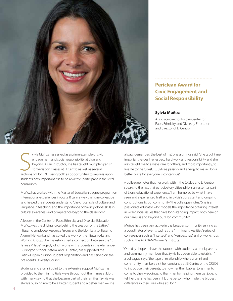<span id="page-5-0"></span>

# **Periclean Award for Civic Engagement and Social Responsibility**

### **Sylvia Muñoz**

Associate director for the Center for Race, Ethnicity and Diversity Education and director of El Centro

ylvia Muñoz has served as a prime example of civic<br>engagement and social responsibility at Elon and<br>beyond. As an instructor, she has taught multiple Spanish<br>conversation classes at El Centro as well as several<br>sections of ylvia Muñoz has served as a prime example of civic engagement and social responsibility at Elon and beyond. As an instructor, she has taught multiple Spanish conversation classes at El Centro as well as several students how important it is to be an active participant in the local community.

Muñoz has worked with the Master of Education degree program on international experiences in Costa Rica in a way that one colleague said helped the students understand "the critical role of culture and language in teaching" and the importance of having "global skills in cultural awareness and competence beyond the classroom."

A leader in the Center for Race, Ethnicity and Diversity Education, Muñoz was the driving force behind the creation of the Latinx/ Hispanic Employee Resource Group and the Elon Latinx-Hispanic Alumni Network and has co-led the work of the Hispanic/Latinx Working Group. She has established a connection between the "It Takes a Village" Project, which works with students in the Alamance-Burlington School System, and El Centro, has supported the Latinx-Hispanic Union student organization and has served on the president's Diversity Council.

Students and alumni point to the extensive support Muñoz has provided to them in multiple ways throughout their times at Elon, with many saying that she became part of their families. "Sylvia was always pushing me to be a better student and a better man — she always demanded the best of me," one alumnus said. "She taught me important values like respect, hard work and responsibility and she also taught me to always care for others, and most importantly, to live life to the fullest. … Sylvia's passion and energy to make Elon a better place for everyone is contagious."

A colleague notes that her work within the CREDE and El Centro speaks to the fact that participatory citizenship is an essential part of Elon's educational experience. "I am humbled by what I have seen and experienced firsthand in Sylvia's consistent and ongoing contributions to our community," the colleague notes. "She is a passionate educator who models the importance of taking interest in wider social issues that have long-standing impact, both here on our campus and beyond our Elon community."

Muñoz has been very active in the broader community, serving as a coordinator of events such as the "Immigrant Realities" series, of conferences such as "Intersect" and "Perspectivas," and of workshops such as the ALANAM Women's Institute.

"One day I hope to have the rapport with students, alumni, parents and community members that Sylvia has been able to establish," a colleague says, "the type of relationship where alumni and community members visit her constantly at El Centro or the CREDE to introduce their parents, to show her their babies, to ask her to come to their weddings, to thank her for helping them get jobs, to tell her that she has been THE one person who made the biggest difference in their lives while at Flon"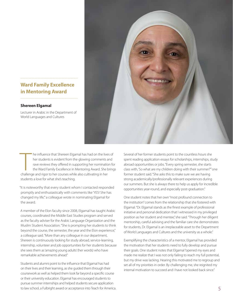# **Ward Family Excellence in Mentoring Award**

### **Shereen Elgamal**

Lecturer in Arabic in the Department of World Languages and Cultures

<span id="page-6-0"></span>

The influence that Shereen Elgamal has had on the live<br>her students is evident from the glowing comments a<br>rave reviews they offered in supporting her nominatio<br>the Ward Family Excellence in Mentoring Award. She b<br>challeng he influence that Shereen Elgamal has had on the lives of her students is evident from the glowing comments and rave reviews they offered in supporting her nomination for the Ward Family Excellence in Mentoring Award. She brings students a love for what she's teaching.

"It is noteworthy that every student whom I contacted responded promptly and enthusiastically with comments like 'YES! She has changed my life,'" a colleague wrote in nominating Elgamal for the award.

A member of the Elon faculty since 2008, Elgamal has taught Arabic courses, coordinated the Middle East Studies program and served as the faculty adviser for the Arabic Language Organization and the Muslim Student Association. "She is prompting her students to think beyond the course, the semester, the year and the Elon experience," a colleague said. "More than any colleague in our department, Shereen is continuously looking for study abroad, service-learning, internship, volunteer and job opportunities for her students because she sees them as 'amazing young adults' (her words) who have remarkable achievements ahead."

Students and alumni point to the influence that Elgamal has had on their lives and their learning, as she guided them through their coursework as well as helped them look far beyond a specific course or their university education. Elgamal has encouraged students to pursue summer internships and helped students secure application to law school, a Fulbright award or acceptance into Teach for America. Several of her former students point to the countless hours she spent reading application essays for scholarships, internships, study abroad opportunities or jobs. "Every spring semester, she starts class with, 'So what are my children doing with their summer?'" one former student said. "She asks this to make sure we are having strong academically/professionally relevant experiences during our summers. But she is always there to help us apply for incredible opportunities year-round, and especially post-graduation."

One student notes that her own "most profound connection to the institution" comes from the relationship that she fostered with Elgamal. "Dr. Elgamal stands as the finest example of professional initiative and personal dedication that I witnessed in my privileged position as her student and mentee," she said. "Through her diligent mentorship, careful advising and the familiar care she demonstrates for students, Dr. Elgamal is an irreplaceable asset to the Department of World Languages and Cultures and the university as a whole."

Exemplifying the characteristics of a mentor, Elgamal has provided the motivation that her students need to fully develop and pursue their goals. One student notes that Elgamal "opened my eyes and made me realize that I was not only failing to reach my full potential, but my drive was lacking. Hearing this motivated me to regroup and set all of my priorities in order. By challenging me, she reignited my internal motivation to succeed and I have not looked back since."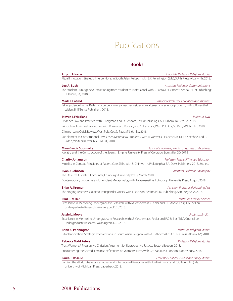# Publications

## **Books**

<span id="page-7-0"></span>

| Amy L. Allocco                                                                                                                                                         | Associate Professor, Religious Studies            |
|------------------------------------------------------------------------------------------------------------------------------------------------------------------------|---------------------------------------------------|
| Ritual Innovation: Strategic Interventions: in South Asian Religion, with B.K. Pennington (Eds.), SUNY Press, Albany, NY, 2018.                                        |                                                   |
| Lee A. Bush                                                                                                                                                            | Associate Professor, Communications               |
| The Student-Run Agency: Transitioning from Student to Professional, with J. Ranta & H. Vincent, Kendall Hunt Publishing:<br>Dubuque, IA, 2018.                         |                                                   |
| <b>Mark T. Enfield</b>                                                                                                                                                 | Associate Professor, Education and Wellness       |
| Taking science home: Reflexivity on becoming a teacher insider in an after-school science program, with S. Rosenthal,<br>Leiden: Brill/Sense Publishers, 2018.         |                                                   |
| <b>Steven I. Friedland</b>                                                                                                                                             | Professor, Law                                    |
| Evidence Law and Practice, with P. Bergman and D. Benham, Lexis Publishing Co., Durham, NC, 7th Ed. 2018.                                                              |                                                   |
| Principles of Criminal Procedure, with R. Weaver, J. Burkoff, and C. Hancock, West Pub. Co., St. Paul, MN, 6th Ed. 2018.                                               |                                                   |
| Criminal Law: Quick Review, West Pub. Co., St. Paul, MN, 6th Ed. 2018.                                                                                                 |                                                   |
| Supplement to Constitutional Law: Cases, Materials & Problems, with R. Weaver, C. Hancock, B. Fair, J. Knechtle, and R.<br>Rosen, Wolters Kluwer, N.Y., 3rd Ed., 2018. |                                                   |
| <b>Mina Garcia Soormally</b>                                                                                                                                           | Associate Professor, World Languages and Cultures |
| Idolatry and the Construction of the Spanish Empire, University Press of Colorado, Louisville, CO, 2018.                                                               |                                                   |
| <b>Charity Johansson</b>                                                                                                                                               | Professor, Physical Therapy Education             |
| Mobility in Context: Principles of Patient Care Skills, with S. Chinworth, Philadelphia: F.A. Davis Publishers, 2018. 2nd ed.                                          |                                                   |
| Ryan J. Johnson                                                                                                                                                        | Assistant Professor, Philosophy                   |
| The Deleuze-Lucretius Encounter, Edinburgh University Press, March 2018.                                                                                               |                                                   |
| Contemporary Encounters with Ancient Metaphysics, with J.A. Greenstine, Edinburgh University Press, August 2018.                                                       |                                                   |
| <b>Brian A. Kremer</b>                                                                                                                                                 | Assistant Professor, Performing Arts              |
| The Singing Teacher's Guide to Transgender Voices, with L. Jackson Hearns, Plural Publishing, San Diego, CA, 2018.                                                     |                                                   |
| <b>Paul C. Miller</b>                                                                                                                                                  | Professor, Exercise Science                       |
| Excellence in Mentoring Undergraduate Research, with M. Vandermaas-Peeler and J.L. Moore (Eds.), Council on<br>Undergraduate Research, Washington, D.C., 2018.         |                                                   |
| Jessie L. Moore                                                                                                                                                        | Professor, English                                |
| Excellence in Mentoring Undergraduate Research, with M. Vandermaas-Peeler and P.C. Miller (Eds.), Council on                                                           |                                                   |
| Undergraduate Research, Washington, D.C., 2018.                                                                                                                        |                                                   |
| <b>Brian K. Pennington</b>                                                                                                                                             | Professor, Religious Studies                      |
| Ritual Innovation: Strategic Interventions: in South Asian Religion, with A.L. Allocco (Eds.), SUNY Press, Albany, NY, 2018.                                           |                                                   |
|                                                                                                                                                                        |                                                   |
| <b>Rebecca Todd Peters</b>                                                                                                                                             | Professor, Religious Studies                      |

Encountering the Sacred: Feminist Reflections on Women's Lives, with G.Y. Kao (Eds.), London: Bloomsbury, 2018.

### **Laura J. Roselle** *Professor, Political Science and Policy Studies*

Forging the World: Strategic narratives and International Relations, with A. Miskimmon and B. O'Loughlin (Eds.). University of Michigan Press, paperback, 2018.

# 6 2018 Publications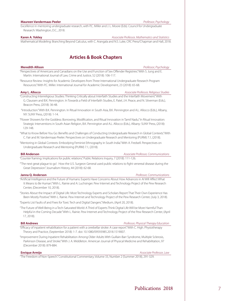### <span id="page-8-0"></span>**Maureen Vandermaas-Peeler** *Professor, Psychology*

Excellence in mentoring undergraduate research, with P.C. Miller and J. L. Moore (Eds). Council for Undergraduate Research: Washington, D.C., 2018.

### **Karen A. Yokley** *Associate Professor, Mathematics and Statistics*

Mathematical Modeling: Branching Beyond Calculus, with C. Arangala and N.S. Luke, CRC Press/Chapman and Hall, 2018.

# **Articles & Book Chapters**

### **Meredith Allison** *Professor, Psychology*

"Perspectives of Americans and Canadians on the Use and Function of Sex Offender Registries." With S. Jung and E. Martin. International Journal of Law, Crime and Justice, 52 (2018): 106-117.

"Resource Review: Insights for Academic Developers from Three International Undergraduate Research Program Resources." With P.C. Miller. International Journal for Academic Development, 23 (2018): 65-68.

### **Amy L. Allocco** *Associate Professor, Religious Studies*

- "Constructing Interreligious Studies: Thinking Critically about Interfaith Studies and the Interfaith Movement." With G. Claussen and B.K. Pennington. In Towards a Field of Interfaith Studies, E. Patel, J.H. Peace, and N. Silverman (Eds.), Beacon Press, (2018): 36-48.
- "Introduction." With B.K. Pennington. In Ritual Innovation in South Asia, B.K. Pennington and A.L. Allocco (Eds.), Albany, NY: SUNY Press, (2018): 1-14.

"Flower Showers for the Goddess: Borrowing, Modification, and Ritual Innovation in Tamil Nadu." In Ritual Innovation: Strategic Interventions in South Asian Religion, B.K. Pennington and A.L. Allocco (Eds.), Albany: SUNY Press, (2018): 129-148.

- "What to Know Before You Go: Benefits and Challenges of Conducting Undergraduate Research in Global Contexts." With C. Fair and M. Vandermaas-Peeler. Perspectives on Undergraduate Research and Mentoring (PURM) 7.1, (2018).
- "Mentoring in Global Contexts: Embodying Feminist Ethnography in South India." With A. Fredsell. Perspectives on Undergraduate Research and Mentoring (PURM) 7.1, (2018).

**Bill Anderson** *Associate Professor, Communications*

"Counter framing: Implications for public relations." Public Relations Inquiry, 7 (2018): 111-126.

"'The next great plague to go': How the U.S. Surgeon General used public relations to fight venereal disease during the Great Depression." Journalism History, 44 (2018): 62-68.

**Janna Q. Anderson** *Professor, Communications*

- "Artificial Intelligence and the Future of Humans: Experts Have Concerns About How Advances in AI Will Affect What It Means to Be Human." With L. Rainie and A. Luchsinger. Pew Internet and Technology Project of the Pew Research Center, (December 10, 2018).
- "Stories About the Impact of Digital Life: Most Technology Experts and Scholars Report That Their Own Experience Has Been Mostly Positive." With L. Rainie. Pew Internet and Technology Project of the Pew Research Center, (July 3, 2018).

"Experts List Faults of and Fixes for Toxic Tech and Digital Dangers." Medium, (April 20, 2018).

"The Future of Well-Being in a Tech-Saturated World: A Third of Experts Think Digital Life Will be More Harmful Than Helpful in the Coming Decade." With L. Rainie. Pew Internet and Technology Project of the Pew Research Center, (April 17, 2018).

**Bill Andrews** *Professor, Physical Therapy Education* "Efficacy of inpatient rehabilitation for a patient with a cerebellar stroke: A case report." With C. High. Physiotherapy

Theory and Practice, (September 2018): 1-7. doi: 10.1080/09593985.2018.1519007.

"Improvement During Inpatient Rehabilitation Among Older Adults With Guillain-Barr Syndrome, Multiple Sclerosis, Parkinson Disease, and Stroke." With J. A. Middleton. American Journal of Physical Medicine and Rehabilitation, 97 (December 2018): 879-884.

### **Enrique Armijo** *Associate Professor, Law*

"The Freedom of Non-Speech." Constitutional Commentary, Volume 33, Number 2 (Summer 2018), 291-329.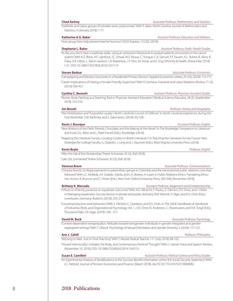"Subfields and Galois groups of solvable sextic polynomials." With P. Jakes. North Carolina Journal of Mathematics and Statistics, 4 (January 2018): 1-11.

### **Katherine A.G. Baker** *Assistant Professor, Education and Wellness*

"How group hires help prevent teacher burnout." ASCD Express, 13 (20), (2018).

### **Stephanie L. Baker** *Assistant Professor, Public Health Studies*

"Its like you don't have a roadmap really: using an antiracism framework to analyze patients encounters in the cancer system." With K.Z. Black, A.F. Lightfoot, J.C. Schaal, M.S. Mouw, C. Yongue, C.A. Samuel, Y.F. Faustin, K.L. Ackert, B. Akins, K. Foley, A.R. Hilton, L. Mann-Jackson, L.B. Robertson, J.Y. Shin, M. Yonas, and E. Eng. Ethnicity & Health. (December 2018): 1-21. DOI: 10.1080/13557858.2018.1557114

### **Steven Bednar** *Associate Professor, Economics*

"Campaigning and Election Outcomes in a Presidential Primary Election." Applied Economics Letters, 25 (10), (2018): 713-717.

"Career Implications of Having a Female-Friendly Supervisor." With D. Gicheva. Industrial and Labor Relations Review, 71 (2), (2018) 426-457.

**Cynthia C. Bennett** *Assistant Professor, Physician Assistant Studies* "Atomic Body Painting as a Teaching Tool in Physician Assistant Education." Medical Science Educator, 28 (3), (September 2018): 525-532.

### **Jim Bissett** *Professor, History and Geography*

"War Mobilization and 'Purposeful Loyalty': North Carolina's Council of Defense." In North Carolina's Experience during the First World War, S.W. McKinley and S. Sabol (eds.), (2018): 93-108.

"New Motions of the Flesh: Pamela, Chocolate, and the Making of the Novel." In The Routledge Companion to Literature and Food, D.L. Brien and L. Piatti-Farnell (Eds.), Routledge, (2018).

"Mapping the Literature Survey: Locating London in British Literature I." In Teaching the Literature Survey Course: New Strategies for College Faculty, G. Dujardin, J. Lang and J. Staunton (Eds.), West Virginia University Press, (2018).

"After the Fall of the Dictatorship." Prairie Schooner, 92 (3), (Fall 2018).

"Late 20s, Unmarried." Prairie Schooner, 92 (3), (Fall 2018).

"Chiquita Brands: Its illegal payments to paramilitary groups in Colombia and the transnational public relations crisis that followed." With J.C. Molleda, A.F. Giraldo- Dávila, and L.H. Botero. In Cases in Public Relations Ethics: Translating Ethics into Action, B. Brunner and C. Hicker (Eds.), New York: Oxford University Press, 343-348, (November 2018).

### **Brittany K. Mercado** *Assistant Professor, Magement and Entrepreneurship*

"Influence of family presence on expatriate outcomes." With A.G. Albrecht, F. Paulus, S. Dilchert, D.S. Ones, and J. Deller. In Managing expatriates: Success factors in private and public domains, B.M. Wiernik, H. Rger, and D.S. Ones (Eds.), Leverkusen, Germany: Budrich, (2018): 255-270.

"Counterproductive work behaviors." With S. Dilchert, C. Giordano, and D.S. Ones. In The SAGE Handbook of Handbook of Industrial, Work, and Organizational Psychology: Vol. 1., D.S. Ones, N. Anderson, C. Viswesvaran, and H.K. Singil (Eds.), Thousand Oaks, CA: Sage. (2018): 109 - 211.

"Context-dependent transprejudice: Attitudes toward transgender individuals in gender-integrated and gendersegregated settings." With T. Obzud. Psychology of Sexual Orientation and Gender Diversity, 5 (2018): 117-121.

"Refusing to Wait: Just-in-Time Teaching." With T. Mould. Radical Teacher 111 (July 2018): 88-102.

"Toward Intervocality: Linklater, the Body, and Contemporary Feminist Thought." With C. Hamel. Voice and Speech Review, (November 10, 2018), DOI: 10.1080/23268263.2019.1543151.

**Susan E. Camilleri** *Assistant Professor, Political Science and Policy Studies*

"An Experimental Analysis of Modifications to the Survivor Benefit Information within the Social Security Statement." With J.C. Diebold. Journal of Pension Economics and Finance, (March 2018), doi:10.1017/S1474747218000082.

### **Kevin J. Bourque** *Assistant Professor, English*

**Kevin Boyle** *Professor, English*

**Vanessa Bravo** *Associate Professor, Communications*

**David M. Buck** *Associate Professor, Psychology*

**Ann J. Cahill** *Professor, Philosophy*

### **Chad Awtrey** *Associate Professor, Mathematics and Statistics*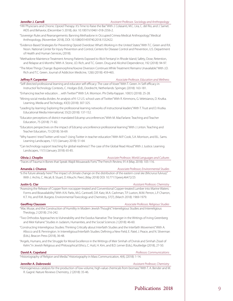**Jennifer J. Carroll** *Assistant Professor, Sociology and Anthropology*

- "HIV Physicians and Chronic Opioid Therapy: It's Time to Raise the Bar." With J. Colasanti, M.C. Lira, C. del Rio, and J. Samet. AIDS and Behavior, (December 5 2018), doi: 10.1007/s10461-018-2356-2.
- "Sovereign Rules and Rearrangements: Banning Methadone in Occupied Crimea Medical Anthropology." Medical Anthropology, (November 2018), DOI: 10.1080/01459740.2018.1532422.
- "Evidence-Based Strategies for Preventing Opioid Overdose: What's Working in the United States." With T.C. Green and R.K. Noon. National Center for Injury Prevention and Control, Centers for Disease Control and Prevention, U.S. Department of Health and Human Services, (2018).
- "Methadone Maintence Treatment Among Patients Exposed to Illicit Fentanyl in Rhode Island; Safety, Dose, Retention, and Relapse at 6 Months." With A. Stone, J.D. Rich, and T.C. Green. Drug and Alcohol Dependence, 192 (2018): 94-97.
- "The More Things Change: Buprenorphine/loxone Diversion Continues While Treatment Remains Unavailable." With J.D. Rich and T.C. Green. Journal of Addiction Medicine, 12(6) (2018): 459-465.

**Jeffrey P. Carpenter** *Associate Professor, Education and Wellness*

- "Self-directed professional learning and educator self-efficacy: The case of Voxer." With T. Green. In Self-efficacy in Instructiol Technology Contexts, C. Hodges (Ed)., Dordrecht, Netherlands: Springer, (2018): 163-181.
- "Enhancing teacher education…with Twitter?" With S.A. Morrison. Phi Delta Kappan. 100(1) (2018): 25-28.
- "Mining social media divides: An analysis of K-12 U.S. school uses of Twitter." With R. Kimmons, G. Veletsianos, D. Krutka. Learning, Media and Techology, 43(3) (2018): 307-325.
- "Leading by learning: Exploring the professional learning networks of instructional leaders." With T. Trust and D. Krutka. Educational Media International, 55(2) (2018): 137-152.
- "Educator perceptions of district-mandated Edcamp unconferences." With M. MacFarlane. Teaching and Teacher Education, 75 (2018): 71-82.
- "Educators perspectives on the impact of Edcamp unconference professional learning." With J. Linton. Teaching and Teacher Education, 73 (2018): 56-69.
- "Why havent I tried Twitter until now?: Using Twitter in teacher education." With M.P. Cook, S.A. Morrison, and B.L. Sams. Learning Landscapes, 11(1) (January 2018): 51-64.
- "Can technology support teaching for global readiness?: The case of the Global Read Aloud." With J. Justice. Learning Landscapes, 11(1) (January 2018): 65-85.

**Olivia J. Choplin** *Associate Professor, World Languages and Cultures*

"Traces of Trauma in Bones that Speak: Wajdi Mouawads Forts." The French Review, 91.4 (May 2018): 105-116.

### **Amanda J. Chunco** *Associate Professor, Environmental Studies*

"Is the future already here? The impact of climate change on the distribution of the eastern coral ske (Micrurus fulvius)." With J. Archis, C. Akcali, B. Stuart, D. Kikuchi. PeerJ, (May 2018) DOI: 10.7717/peerj.46472/25

**Justin G. Clar** *Assistant Professor, Chemistry*

"Assessing the Release of Copper from nocopper-treated and Conventional Copper-treated Lumber into Marine Waters: Forms and Bioavailability." With A.N. Parks, M.G. Cantwell, D.R. Katz, M.A. Cashman, T.P. Luxton, M.M. Perron, L.P. Charron, K.T. Ho, and R.M. Burgess. Environmental Toxicology and Chemistry, 37(7), (March 2018): 1969-1979.

**Geoffrey Claussen** *Associate Professor, Religious Studies*

- "War, Musar, and the Construction of Humility in Modern Jewish Thought." Interreligious Studies and Interreligious Theology, 2 (2018): 216-242.
- "Two Orthodox Approaches to Vulnerability and the Exodus Narrative: The Stranger in the Writings of Irving Greenberg and Meir Kahane." Studies in Judaism, Humanities, and the Social Sciences 2 (2018): 46-60.
- "Constructing Interreligious Studies: Thinking Critically about Interfaith Studies and the Interfaith Movement." With A. Allocco and B. Pennington. In Interreligious/Interfaith Studies: Defining a New Field, E. Patel, J. Peace, and N. Silverman (Eds.), Beacon Press (2018), 36-48.
- "Angels, Humans, and the Struggle for Moral Excellence in the Writings of Meir Simhah of Dvinsk and Simhah Zissel of Kelm." In Jewish Religious and Philosophical Ethics, C. Hutt, H. Kim, and B.D. Lerner (Eds.), Routledge (2018), 27-50.

**David A. Copeland** *Professor, Communications*

"Historiography of Religion and Media." Historiography in Mass Communication, 4(4), (2018): 1-14.

### **Jennifer A. Dabrowski** *Assistant Professor, Chemistry Assistant Professor, Chemistry*

"Homogeneous catalysis for the production of low-volume, high-value chemicals from biomass." With T. A. Bender and M. R. Gagné. Nature Reviews Chemistry, 2 (2018): 35-46.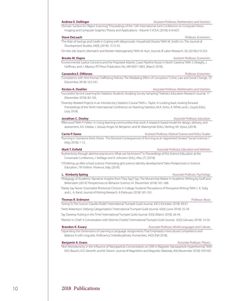### **Andrew E. Dellinger** *Assistant Professor, Mathematics and Statistics*

"Domain Surface for Object Scanning." Proceedings of the 13th International Joint Conference on Computer Vision, Imaging and Computer Graphics Theory and Applications - Volume 5 VCEA, (2018): 616-625.

### **Steve DeLoach** *Professor, Economics*

"The Role of Savings and Credit in Coping with Idiosyncratic Household Shocks." With M. Smith-Lin. The Journal of Development Studies, 54(9), (2018): 1513-33.

"On-the-Job Search, Mismatch and Worker Heterogeneity." With M. Kurt. Journal of Labor Research, 39, (2018):219-233.

### **Brooks M. Depro** *Assistant Professor, Economics*

"Environmental Justice Concerns and the Proposed Atlantic Coast Pipeline Route in North Carolina." With S. Wraight, J. Hoffman, and J. Allpress. RTI Press Publication No. MR-0037-1803, (March 2018).

### **Cassandra E. DiRienzo** *Professor, Economics*

"Compliance with Anti-Human Trafficking Policies: The Mediating Effect of Corruption." Crime, Law and Social Change, 70 (December 2018): 525-541.

### **Kirsten A. Doehler** *Associate Professor, Mathematics and Statistics*

"Successful Service-Learning for Statistics Students Studying Survey Sampling." Statistics Education Research Journal, 17 (November 2018): 82-103.

"Diversity-Related Projects in an Introductory Statistics Course." With L. Taylor. In Looking back, looking forward. Proceedings of the Tenth International Conference on Teaching Statistics, M.A. Sorto, A. White, and L. Guyot (Eds.), (July 2018).

### **Jonathan C. Dooley** *Associate Professor, Education*

"Afterword." With P. Felten. In Living-learning communities that work: A research-based model for design, delivery, and assessment, K.K. Inkelas, J. Jessup-Anger, M. Benjamin, and M. Wawrzynski (Eds.), Sterling, VA: Stylus, (2018).

### **Carrie P. Eaves** *Assistant Professor, Political Science and Policy Studies*

"Running in Someone Else's Shoes: The Electoral Consequences of Running as an Appointed Senator." Social Sciences 7 (May 2018): 1-12.

"Authenticity through altertive practicums: What can be known?" In Proceedings of the Science Education at the Crossroads Conference, J. Settlage and A. Johnston (Eds.), Alta, UT, (2018).

"STEAMing up after-school science: Promoting girls science identity development." New Perspectives in Science Education, 7th Edition. Florence, Italy, (2018).

### **L. Kimberly Epting** *Associate Professor, Psychology*

- "Pedagogy of Academic Narrative: Insights from They Say/I Say: The Moves that Matter in Academic Writing by Graff and Birkenstein (2014)." Perspectives on Behavior Science, 41 (November 2018): 561-568.
- "Rarely Say Never: Essentialist Rhetorical Choices in College Students' Perceptions of Persuasive Writing." With L. K. Salig and L. A. Rand. Journal of Writing Research, 9 (February 2018): 301-331.

### **Thomas R. Erdmann** *Professor, Music*

"Going To The Source: Claudio Roditi." International Trumpet Guild Journal. 43(1) (October 2018): 49-61.

"Herb Robertson: Defying Categorization." International Trumpet Guild Journal. 42(4) (June 2018): 25-34.

"Jay Daversa: Putting in the Time." International Trumpet Guild Journal. 42(3) (March 2018): 26-34.

"Mentor in Chief: A Conversation with Etienne Charles." International Trumpet Guild Journal. 42(2) (January 2018): 14-24.

### **Brandon K. Essary** *Associate Professor, World Languages and Cultures*

"Expanding the Dimensions of Learning a Language: Assignments That Emphasize Intercultural Competence and Balance It with Linguistic Proficiency." Interdisciplinary Humanities, 34(2) (Fall 2018).

"Non-Monotonicity in the Influence of Nanoparticle Concentration on SAR in Magnetic Nanoparticle Hyperthermia." With M.D. Bausch, K.D. Sienerth, and M. Davern. Journal of Magnetism and Magnetic Materials, 456 (November 2018): 559-565.

### **Mark T. Enfield** *Associate Professor, Education and Wellness*

### **Benjamin A. Evans** *Associate Professor, Physics*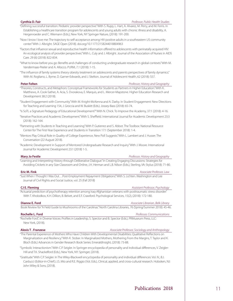### **Cynthia D. Fair** *Professor, Public Health Studies*

"Defining successful transition: Pediatric provider perspective." With S. Rupp, L. Hart, A. Alvarez, M. Perry, and M. Ferris. In Establishing a healthcare transition program for adolescents and young adults with chronic illness and disability, A. Hergenroeder and C. Wiemann (Eds.), New York, NY Springer Nature, (2018): 191-200.

- "Now I know I love me: The trajectory to self-acceptance among HIV positive adults in a southeastern US community center." With J. Albright. SAGE Open (2018). doi.org/10.1177/2158244018804963
- "Factors that influence sexual and reproductive health information offered to adolescents with perinatally acquired HIV: An ecological analysis of provider perspectives." With L. Culy and J. Albright. Journal of the Association of Nurses in AIDS Care. 29 (6) (2018): 822-834.
- "What to know before you go: Benefits and challenges of conducting undergraduate research in global contexts." With M. Vandermaas-Peeler and A. Allocco. PURM, 7.1 (2018): 1-15.
- "The influence of family systems theory obesity treatment on adolescents and parents perspectives of family dynamics." With M. Rogliano, L. Byrne, D. Garner-Edwards, and J. Skelton. Journal of Adolescent Health, 62 (2018): S57.

### **Peter Felten** *Professor, History and Geography*

- "Theories, Constructs, and Metaphors: Conceptual Frameworks for Students as Partners in Higher Education." With K. Matthews, A. Cook-Sather, A. Acia, S. Dvorakova, E. Marquis, and L. Mercer-Mapstone. Higher Education Research and Development 38:2 (2018).
- "Student Engagement with Community." With M. Knight-McKenna and A. Darby. In Student Engagement: New Directions for Teaching and Learning 154, J. Groccia and W. Buskitt (Eds.). Jossey-Bass (2018): 65-74.

"Is SoTL a Signature Pedagogy of Educational Development?" With N. Chick. To Improve the Academy, 37:1 (2018): 4-16.

- "Iterative Practices and Academic Development." With S. Sheffield. International Journal for Academic Development 23:3 (2018): 162-164.
- "Partnering with Students in Teaching and Learning." With P. Gutierrez and S. Abbot. The Toolbox: National Resource Center for The First-Year Experience and Students in Transition 17:1 (September 2018): 1-4.
- "Mentors Play Critical Role in Quality of College Experience, New Poll Suggests." With L. Lambert and J. Husser. The Conversation (22 August 2018).
- "Academic Development in Support of Mentored Undergraduate Research and Inquiry." With J. Moore. International Journal for Academic Development 23:1 (2018) 1-5.

### **Mary Jo Festle** *Professor, History and Geography*

"Learning and Interpreting History through Deliberative Dialogue." In Creating Engaging Discussions: Strategies for Avoiding Crickets in any Size Classroom and Online, J.H. Herman and L.B. Nilson (Eds.), Sterling, VA: Stylus (2018): 71-80.

### **Eric M. Fink** *Associate Professor, Law*

"'Just When I Thought I Was Out…Post-Employment Repayment Obligations'." With S. Lichten. Washington and Lee Journal of Civil Rights and Social Justice, vol. 25 (Fall 2018)

"Actuarial prediction of psychotherapy retention among Iraq-Afghanistan veterans with posttraumatic stress disorder." With T. Kholodkov, K.H. Dillion, B. Belvet, and E.F. Crawford. Psychological Services, 15(2), (2018): 172-180.

## Book Review for "A Field Guide to Mushrooms of the Carolinas." North Carolina Libraries, 76 (Spring/Summer 2018): 45-46.

### **Rochelle L. Ford** *Professor, Communications*

"Rochelle Ford", in Diverse Voices: Profiles in Leadership, S. Spector and B. Spector (Eds.), PRMuseum Press, LLC: New York, (2018).

### **Alexis T . Franzese** *Associate Professor, Sociology and Anthropology*

### "The Parental Experience of Mothers Who Have Children With Developmental Disabilities: Qualitative Reflections on Marginalization and Resiliency." With K. Stober. In Marginalized Mothers, Mothering From the Margins, T. Taylor and K. Bloch (Eds.) Advances in Gender Research Book Series: EmeraldInsight, (2018): 73-88.

"Symbolic Interactionism." With C.P. Seigler. In Springer encyclopedia of personality and individual differences, V. Zeigler-Hill and T.K. Shackelford (Eds.), New York, NY: Springer, (2018).

"Gratitude." With C.P. Seigler. In The Wiley-Blackwell encyclopedia of personality and individual differences: Vol. IV., B.J. Carducci (Editor-in-Chief); J.S. Mio and R.E. Riggio (Vol. Eds.), Clinical, applied, and cross-cultural research. Hoboken, NJ: John Wiley & Sons, (2018).

### **Dianne E. Ford** *Associate Librarian, Belk Library*

**CJ E. Fleming** *Assistant Professor, Psychology*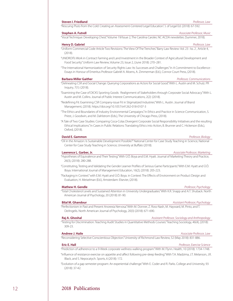# 12 2018 Publications

### **Steven I. Friedland** *Professor, Law*  "Rescuing Pluto from the Cold: Creating an Assessment-Centered Legal Education." J. of Legal Ed. (2018): 67-592.

**Stephen A. Futrell** *Associate Professor, Music*

"Vocal Technique: Developing Chest." Volume 19/Issue 2, The Carolina Caroler, NC ACDA newsletter, (Summer, 2018).

### **Henry D. Gabriel** *Professor, Law*

- "Uniform Commercial Code Article Two Revisions: The View Of The Trenches." Barry Law Review: Vol. 23 : Iss. 2 , Article 4, (2018).
- "UNIDROITs Work in Contract Farming and Land Investment in the Broader Context of Agricultural Development and Food Security." Uniform Law Review, Volume 23, Issue 2, (June 2018): 270–281.
- "The International Harmonization of Security Rights Law: Its Successes and Challenges." In A Commitment to Excellence : Essays in Honour of Emeritus Professor Gabriël A. Moens, A. Zimmerman (Ed.), Connor Court Press, (2018).

### **Barbara Miller Gaither** *Professor, Communications*

- "Delineating CSR and Social Change: Querying Corporations as Actors for Social Good." With L. Austin and M. Schulz. PR Inquiry, 7(1): (2018).
- "Examining the Case of DICKS Sporting Goods: Realignment of Stakeholders through Corporate Social Advocacy." With L. Austin and M. Collins. Journal of Public Interest Communications, 2(2): (2018).
- "Redefining Fit: Examining CSR Company-issue Fit in Stigmatized Industries." With L. Austin. Journal of Brand Management, (2018). https://doi.org/10.1057/s41262-018-0107-3
- "The Ethics and Boundaries of Industry Environmental Campaigns." In Ethics and Practice in Science Communication, S. Priest, J. Goodwin, and M. Dahlstrom (Eds.), The University of Chicago Press, (2018).
- "A Tale of Two Case Studies: Comparing Coca-Colas Divergent Corporate Social Responsibility Initiatives and the resulting Ethical Implications." In Cases in Public Relations: Translating Ethics into Action, B. Brunner and C. Hickerson (Eds.), Oxford, (2018).

### **David E. Gammon** *Professor, Biology*

"Oil in the Amazon: Is Sustainable Development Possible?" National Center for Case Study Teaching in Science, National Center for Case Study Teaching in Science, University at Buffalo (2018).

### **Lawrence L. Garber, Jr.** *Associate Professor, Marketing*

"Hypotheses of Equivalence and Their Testing." With Ü.Ö. Boya and E.M. Hyatt. Journal of Marketing Theory and Practice, 26(3), (2018): 280-288.

- "Constituting, Testing and Validating the Gender Learner Profiles of Serious Game Participants." With E.M. Hyatt and Ü.Ö. Boya. International Journal of Management Education, 16(2), (2018): 205-223.
- "Packaging in Context." with E.M. Hyatt and Ü.Ö. Boya. in Context: The Effects of Environment on Product Design and Evaluation, H. Meiselman (Ed.), Amsterdam: Elsevier, (2018).

### **Mathew H. Gendle** *Professor, Psychology*

"Total Cholesterol Levels and Sustained Attention in University Undergraduates." With K.R. Snapp and A.T. Shuback. North American Journal of Psychology, 20 (2018): 81-90.

"Perfectionism in Past and Present Anorexia Nervosa." With M. Donner, Z. Ross-Nash, M. Hayward, M. Pinto, and T. DeAngelis. North American Journal of Psychology, 20(3) (2018): 671-690.

"Testing for Discrimination: Teaching Audit Studies in Quantitative Methods Courses." Teaching Sociology, 46(4), (2018): 309-23.

### **Andrew J. Haile** *Associate Professor, Law*

"Reconsidering Selective Conscientious Objection." University of Richmond Law Review, 52 (May 2018): 831-886.

### **Eric E. Hall** *Professor, Exercise Science*

"Prediction of adherence to a 9-Week corporate wellness walking program." With M. Flynn. Health, 10 (2018): 1734-1748. "Influence of resistance exercise on appetite and affect following pre-sleep feeding." With T.A. Madzima, J.T. Melanson, J.R.

Black, and S. Nepocatych. Sports, 6 (2018): 172.

"Evolution of a gap semester program: An experiential challenge." With E. Coder and R. Parks. College and University, 93 (2018): 37-42.

### **Bilal M. Ghandour** *Assistant Professor, Psychology*

### **Raj A. Ghoshal** *Assistant Professor, Sociology and Anthropology**Assistant Professor, Sociology and Anthropology*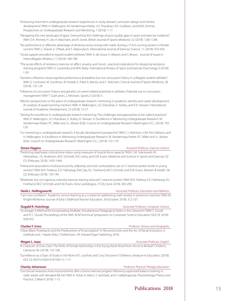- "Enhancing short-term undergraduate research experiences in study abroad: curriculum design and mentor development." With H. Walkington, M. Vandermaas-Peeler, J.O. Shanahan, R.K. Gudiksen, and M.M. Zimmer. Perspectives on Undergraduate Research and Mentoring, 7 (2018): 1-17.
- "Navigating the new landscape of apps: Overcoming the challenge of poor quality apps in sport and exercise medicine." With O.H. Ahmed, H. Lee, H. Marchant, and R. Jones. British Journal of Sports Medicine, 52 (2018): 1283-1284.
- "No performance or affective advantage of drinking versus rinsing with water during a 15-km running session in female runners." With L. Shaver, E. O'Neal, and S. Nepocatych. International Journal of Exercise Science, 11 (2018): 910-920.
- "Social support provided to injured student-athletes." With A. de Groot, A. Weaver, and S. Brown. Journal of Issues in Intercollegiate Athletics, 11 (2018): 168-188.

"The acute effects of resistance exercise on affect, anxiety, and mood - practical implications for designing resistance training programs." With D. Cavarretta and W.R. Bixby. International Review of Sport and Exercise Psychology, 0 (2018): 1-30.

"Genetics influence neurocognitive performance at baseline but not concussion history in collegiate student-athletes." With G. Cochrane, M. Sundman, M. Kostek, K. Patel, K. Barnes, and C. Ketcham. Clinical Journal of Sports Medicine, 28 (2018): 125-129.

- "Influence of concussion history and genetics on event-related potentials in athletes: Potential use in concussion management." With T. Guth and C.J. Ketcham. Sports, 6 (2018): 5.
- "Mentor perspectives on the place of undergraduate research mentoring in academic identity and career development: An analysis of award winning mentors." With H. Walkington, J.O. Shanahan, E. Ackley, and K.A. Stewart. International Journal of Academic Development, 23 (2018), 15-27.

"Striving for excellence in undergraduate research mentoring: The challenges and approaches to ten salient practices." With H. Walkington, J.O. Shanahan, E. Ackley, K. Stewart. In Excellence in Mentoring Undergraduate Research, M. Vandermaas-Peeler, P.C. Miller and J.L. Moore (Eds). Council on Undergraduate Research: Washington D.C., (2018): 105- 129.

"Co-mentoring in undergraduate research: A faculty development perspective." With C.J. Ketcham, H.M. Fitz-Gibbons, and H. Walkington. In Excellence in Mentoring Undergraduate Research, M. Vandermaas-Peeler, P.C. Miller and J.L. Moore (Eds). Council on Undergraduate Research: Washington D.C., (2018): 155-179.

**Simon Higgins** *Assistant Professor, Exercise Science*

"Predicting diaphyseal cortical bone status using measures of muscle force capacity." With C.M. Sokolowski, M. Vishwathan, J.G. Anderson, M.D. Schmidt, R.D. Lewis, and E.M. Evans. Medicine and Science in Sports and Exercise, 50 (7); (February 2018): 1433-1444.

"Interactive associations of physical activity, adiposity, and oral contraceptive use on C-reactive protein levels in young women." With M.V. Fedewa, E.D. Hathaway, B.M. Das, R.L. Forehand, M.D. Schmidt, and E.M. Evans. Women & Health, 58 (2); (February 2018): 129-144.

"Moderate, but not vigorous, intensity exercise training reduced C-reactive protein." With M.V. Fedewa, E.D. Hathaway, R.L. Forehand, M.D. Schmidt, and E.M. Evans. Acta Cardiologica, 73 (3); (June 2018): 283-290.

**Heidi L. Hollingsworth** *Associate Professor, Education and Wellness* "'I am now confident': Academic service-learning as a context for addressing math anxiety in preservice teachers." With M. Knight-McKenna. Journal of Early Childhood Teacher Education, 39 (October 2018): 312-327.

"Scrumage: A Method for Incorporating Multiple, Simultaneous Pedagogical Styles in the Classroom." With S. Duvall and R. C. Duvall. Proceedings of the 49th ACM Technical Symposium on Computer Science Education (SIGCSE 2018): 928-933.

### **Charles F. Irons** *Professor, History and Geography*

"Urban Black Protestants and the Predicament of Emancipation." In Reconstruction and the Arc of Racial (In)Justice, A. Goethals and J. Hayter (Eds.). Cheltenham, UK: Edward Elgar Publishing, 2018.

### **Megan L. Isaac** *Associate Professor, English*

### "A Character of Ones Own: The Perils of Female Authorship in the Young Adult Novel from Alcott to Birdsall." Childrens Literature 46, (2018): 133-168.

"Surveillance as a Topic of Study in the Work of E. Lockhart and Cory Doctorow." Childrens Literature in Education, (2018). DOI 10.1007/s10583-018-9367-5, 1-17.

### **Charity Johansson** *Professor, Physical Therapy Education*

"Functional measures show improvements after a home exercise program following supervised balance training in older adults with elevated fall risk." With K. Tisher, K. Mann, S. VanDyke, and S. Vallabhajosula. Physiotherapy Theory and Practice, 5 (March 2018): 1-13.

**Dugald R. Hutchings** *Associate Professor, Computer Science*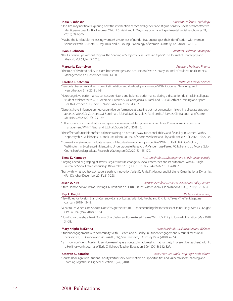"One size may not fit all: Exploring how the intersection of race and gender and stigma consciousness predict effective identity-safe cues for Black women." With E.S. Pietri and E. Ozgumus. Journal of Experimental Social Psychology, 74, (2018): 291-306.

"Maybe she is relatable: Increasing women's awareness of gender bias encourages their identification with women scientists." With E.S. Pietri, E. Ozgumus, and A.I. Young. Psychology of Women Quarterly, 42, (2018): 192-219.

### **Ryan J. Johnson** *Assistant Professor, Philosophy*

"The Cartesian Eye-without-Organs: the Shaping of Subjectivity in Cartesian Optics." The Journal of Philosophy and Rhetoric, Vol. 51, No. 5, 2018.

### **Margarita Kaprielyan** *Associate Professor, Finance*

"The role of dividend policy in cross-border mergers and acquisitions." With K. Brady. Journal of Multinational Financial Management, 47 (December 2018): 14-30.

### **Caroline J. Ketcham** *Professor, Exercise Science*

- "Cerebellar transcranial direct current stimulation and dual-task performance." With K. Oberle. Neurology and Neurotherapy, 3(1) (2018): 1-8.
- "Neurocognitive performance, concussion history and balance performance during a distraction dual-task in collegiate student-athletes." With G.D. Cochrane, L Brown, S. Vallabhajosula, K. Patel, and E.E. Hall. Athletic Training and Sport Health (October 2018). doi:10.3928/19425864-20180313-02

"Genetics have influence on neurocognitive performance at baseline but not concussion history in collegiate studentathletes." With G.D. Cochrane, M. Sundman, E.E. Hall, M.C. Kostek, K. Patel, and K.P. Barnes. Clinical Journal of Sports Medicine, 28(2) (2018): 125-129.

"Influence of concussion history and genetics on event-related potentials in athletes: Potential use in concussion management." With T. Guth and E.E. Hall. Sports 6 (1), (2018): 5.

- "The effects of unstable surface balance training on postural sway, functional ability, and flexibility in women." With S. Nepocatych, S. Vallabhajosula, and G. Balililonis. Journal of Sports Medicine and Physical Fitness, 58 (1-2) (2018): 27-34.
- "Co-mentoring in undergraduate research: A faculty development perspective." With E.E. Hall, H.M. Fitz-Gibbon, H. Walkington. In Excellence in Mentoring Undergraduate Research, M. Vandermaas-Peeler, P.C. Miller and J.L. Moore (Eds). Council on Undergraduate Research: Washington D.C., (2018): 155-179.

### **Elena D. Kennedy** *Assistant Professor, Management and Entrepreneurship*

- "Forging ahead or grasping at straws: Legal structure change in social enterprises and its outcomes." With N. Haigh. Journal of Social Entrepreneurship, (November 2018). DOI: 10.1080/19420676.2018.1541002
- "Start with what you have: A leader's path to innovation." With D. Parris, K. Alexiou, and M. Linne. Organizational Dynamics, 47:4 (October-December 2018): 219-228

**Jason A. Kirk** *Associate Professor, Political Science and Policy Studies* 

"State Homophobia? India's Shifting UN Positions on LGBTQ Issues." With V. Yadav. Globalizations, 15(5), (2018): 670-684.

### **Ray A. Knight** *Professor, Accounting*

### "New Rules for Foreign Branch Currency Gains or Losses." With L.G. Knight and K. Knight. Taxes - The Tax Magazine (January 2018): 43-48.

"What to Do When One Spouse Doesn't Sign the Return - - Understanding the Intricacies of Joint Filing." With L.G. Knight. CPA Journal (May 2018): 50-54.

"How Do Partnerships Treat Options, Short Sales, and Unmatured Claims." With L.G. Knight. Journal of Taxation (May 2018): 34-38.

### **Mary Knight-McKenna** *Associate Professor, Education and Wellness*

"Student engagement with community." With P. Felten and A. Darby. In Student engagement: A multidimensional perspective, J. E. Groccia and W. Buskitt (Eds.), San Francisco, CA: Jossey-Bass, (2018): 45-54.

"I am now confident: Academic service-learning as a context for addressing math anxiety in preservice teachers." With H. L. Hollingsworth. Journal of Early Childhood Teacher Education, 39(4) (2018): 312-327.

**Ketevan Kupatadze** *Senior Lecturer, World Languages and Cultures*

"Course Redesign with Student-Faculty Partnership: A Reflection on Opportunities and Vulnerabilities," Teaching and Learning Together in Higher Education, 1(24), (2018).

14 2018 Publications

### **India R. Johnson** *Assistant Professor, Psychology*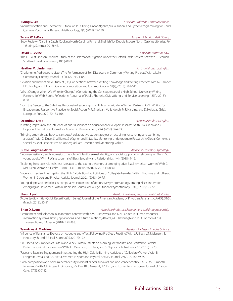### "Varimax Rotation and Thereafter: Tutorial on PCA Using Linear Algebra, Visualization, and Python Programming for R and Q analysis." Journal of Research Methodology, 3(1) (2018): 79-130.

### **Teresa W. LePors** *Assistant Librarian, Belk Library*

### Book Review - "Carolina Catch: Cooking North Carolina Fish and Shellfish," by Debbie Moose. North Carolina Libraries. 76, 1 (Spring/Summer 2018): 45.

### **David S. Levine** *Associate Professor, Law*

"The DTSA at One: An Empirical Study of the First Year of Litigation Under the Defend Trade Secrets Act." With C. Seaman. 53 Wake Forest Law Review, 106 (2018).

### **Heather M. Lindenman** *Assistant Professor, English*

"Challenging Audiences to Listen: The Performance of Self-Disclosure in Community Writing Projects." With J. Lohr. Community Literacy Journal, 13 (1), (2018): 71-86.

"Revision and Reflection: A Study of (Dis)Connections between Writing Knowledge and Writing Practice." With M. Camper, L.D. Jacoby, and J. Enoch. College Composition and Communication, 69(4), (2018): 581-611.

"What Changes When We 'Write for Change?': Considering the Consequences of a High School-University Writing Partnership." With J. Lohr. Reflections: A Journal of Public Rhetoric, Civic Writing, and Service-Learning, 18(1), (2018): 8-38.

"From the Center to the Sidelines: Responsive Leadership in a High School-College Writing Partnership." In Writing for Engagement: Responsive Practice for Social Action, M.P. Sheridan, M. Bardolph, M.F. Hartline, and D. Holladay (Eds.), Lexington Press, (2018): 153-166.

"A lasting impression: the influence of prior disciplines on educational developers research." With D.A. Green and C. Hoption. International Journal for Academic Development, 23:4, (2018): 324-338.

"Bringing study abroad back to campus: A collaborative student project on acquiring, researching and exhibiting artifacts?" With X. Duan, S. Williams, S. Wagner, and K. Moritz. Mentoring Undergraduate Research in Global Contexts, a special issue of Perspectives on Undergraduate Research and Mentoring. Vol 6:2.

**Buffie Longmire-Avital** *Associate Professor, Psychology*

"Between resiliency and depression: The roles of identity, sexual identity, and social support on well-being for Black LGB young adults." With J. Walker. Journal of Black Sexuality and Relationships, 4(4), (2018): 1-15.

- "Exploring how race-related stress is related to the eating behaviors of emerging adult Black American women." With C. McQueen. Women & Health, (2018): DOI:10.1080/03630242.2018.1478361
- "Race and Exercise: Investigating the High Calorie Burning Activities of Collegiate Females." With T. Madzima and E. Bierut. Women in Sport and Physical Activity Journal, 26(2), (2018): 69-75.

"Young, depressed and Black: A comparative exploration of depressive symptomatology among Black and White emerging adult women." With R. Robinson. Journal of College Student Psychotherapy, 32(1), (2018): 53-72.

**Shaun Lynch** *Assistant Professor, Physician Assistant Studies* "Acute Epididymitis - Quick Recertification Series." Journal of the American Academy of Physician Assistants (JAAPA), 31(3), (March, 2018): 50-51.

**Brian D. Lyons** *Associate Professor, Management and Entrepreneurship* 

"Recruitment and selection in an Internet context." With K.M. Lukaszewski and D.N. Dickter. In Human resources information systems: Basics, applications, and future directions, 4th ed., M. J. Kavanagh and R. D. Johnson (Eds.), Thousand Oaks, CA: Sage, (2018): 257-288.

### **Takudzwa A. Madzima** *Assistant Professor, Exercise Science*

"Influence of Resistance Exercise on Appetite and Affect Following Pre-Sleep Feeding." With J.R. Black, J.T. Melanson, S. Nepocatych, and E.E. Hall. Sports, 6(4), (2018): 172.

- "Pre-Sleep Consumption of Casein and Whey Protein: Effects on Morning Metabolism and Resistance Exercise Performance in Active Women." With J.T. Melanson, J.R. Black, and S. Nepocatych. Nutrients, 10, (2018): 1273.
- "Race and Exercise Engagement: Investigating the High Calorie Burning Activities of Collegiate Women." With B. Longmire-Avital and E.A. Bierut. Women in Sport and Physical Activity Journal, 26(2), (2018): 69-75.
- "Body composition and bone mineral density in breast cancer survivors and non-cancer controls: A 12- to 15-month follow-up." With A.A. Artese, E. Simovice, J-S. Kim, B.H. Armandi, J.Z. Ilich, and L.B. Panton. European Journal of Cancer Care., 27(2): (2018).

### **Deandra J. Little** *Associate Professor, English*

### **Byung S. Lee Associate Professor, Communications Associate Professor, Communications**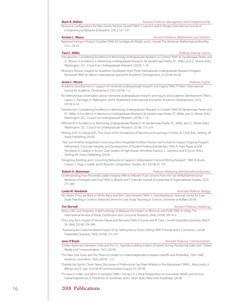"Resource Configurations for New Family Venture Growth." With S. Lanivich and R. Klinger. International Journal of Entrepreneurial Behavior & Research, (24) 2: 521-537.

### **Kristen L. Mazur** *Assistant Professor, Mathematics and Statistics*

"Approval Voting in Product Societies." With M. Sondjaja, M. Wright, and C. Yarnall. The American Mathematical Monthly, 125:1, 29-43.

### **Paul C. Miller** *Professor, Exercise Science*

- "Introduction: Considering Excellence in Mentoring Undergraduate Research in Context." With M. Vandermaas-Peeler and J.L. Moore. In Excellence in Mentoring Undergraduate Research, M. Vandermaas-Peeler, P.C. Miller, and J.L. Moore (Eds.), Washington, D.C.: Council on Undergraduate Research, (2018): 1-18.
- "Resource Review: Insights for Academic Developers from Three International Undergraduate Research Program Resources." With M. Allison. International Journal for Academic Development, 23 (2018): 65-68.

- "Academic development in support of mentored undergraduate research and inquiry." With P. Felten. International Journal for Academic Development, 23(1) (2018): 1-5.
- "An international conversation about mentored undergraduate research and inquiry and academic development." With S. Larson, L. Partridge, H. Walkington, and B. Wuetherick. International Journal for Academic Development, 23(1), (2018): 6-14.
- "Introduction: Considering Excellence in Mentoring Undergraduate Research in Context." With M. Vandermaas-Peeler and P.C. Miller. In Excellence in Mentoring Undergraduate Research, M. Vandermaas-Peeler, P.C. Miller, and J.L. Moore (Eds.), Washington, D.C.: Council on Undergraduate Research, (2018): 1-18.
- "Afterword." In Excellence in Mentoring Undergraduate Research, M. Vandermaas-Peeler, P.C. Miller, and J.L. Moore (Eds.), Washington, D.C.: Council on Undergraduate Research, (2018): 215-219.
- "Writing SoTL." In Doing SoTL: Thin Slices of the Scholarship of Teaching and Learning in Action, N. Chick (Ed.), Sterling, VA: Stylus Publishing, (2018).
- "Not Just Another Assignment: How Long Term Integrated Portfolio Practice has Evolved to Impact Ongoing Program Refinement, Curricular Integrity, and Development of Student Professional Identity.'' With R. Pope-Ruark and M. Strickland. In Catalyst in Action: Case Studies of High-Impact ePortfolio Practice, L. Gambino and B. Eynon (Eds.), Sterling, VA: Stylus Publishing, (2018).
- "Designing, Building, and Connecting Networks to Support Collaborative Empirical Writing Research.'' With B. Brunk-Chavez, S. Pigg, J. Grabill, and P. Rosinski. Composition Studies, 46.1 (2018): 81-101.

### **Robert H. Moorman** *Professor, Marketing and International Business*

"Understanding How Perceived Leader Integrity Affects Follower Trust: Lessons From the Use of Multidimensional Measures of Integrity and Trust." With G. Blakely and T. Darnold. Journal of Leadership & Organizational Studies, 25(3), 277-289.

### **Linda M. Niedziela** *Associate Professor, Biology*

"No Matter if You are Black or White: Race and Skin Color Variation." With S. Chandrasekaran. National Center for Case Study Teaching in Science, National Center for Case Study Teaching in Science, University at Buffalo (2018).

- "Bonus Gift Card Programs: A Methodology to Measure the Impact on Revenue and Profit." With A. Horky. The International Review of Retail, Distribution and Consumer Research, 28(4), (2018): 397-413.
- "The Long-Term Impact of Service Failure and Recovery." With P. Kumar and M. Dass. Cornell Hospitality Quarterly, March 26, 59(4), (2018): 376-389.
- "Assessing the Customer-Based Impact of Up-Selling Versus Down-Selling." With P. Kumar and S. Contractor. Cornell Hospitality Quarterly, 59(3), (2018): 215-227.

### **Jane O'Boyle** *Assistant Professor, Communications*

- "Twitter diplomacy between India and the U.S.: Agenda-building analysis of tweets during Presidential state visits." Global Media and Communication, 15(1), (2018).
- "The New York Times and The Times of London on India Independence leaders Gandhi and Ambedkar, 1920-1948." American Journalism, 35(2), (2018): 1-22.
- "Outside the Sports Closet: News Discourses of Professional Gay Male Athletes in the Mainstream." With L. Moscowitz, A. Billings, and K. Ejaz. Journal of Communication Inquiry, 42, (2018).
- "TV news in India: Journalists in transition." With I. Somani. In Critical Perspectives on Journalistic Beliefs and Actions: Global Experiences, E. Freedman, R. Goodman, and E. Steyn (Eds.), New York: Routledge, (2018).

## 16 2018 Publications

**Tim Norvell** *Assistant Professor, Marketing*

### **Jessie L. Moore** *Professor, English*

### **Mark R. Mallon** *Assistant Professor, Management and Entrepreneurship*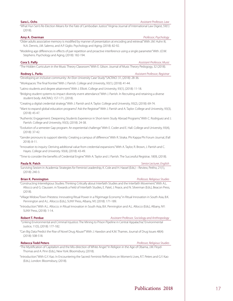### **Sara L. Ochs** *Assistant Professor, Law*

"What Hun Sen's Re-Election Means for the Fate of Cambodian Justice." Virginia Journal of International Law Digest, 59(1) (2018).

### **Amy A. Overman** *Professor, Psychology*

- "Older adults associative memory is modified by manner of presentation at encoding and retrieval." With J.M. Huhn III, N.A. Dennis, J.M. Salerno, and A.P. Giglio. Psychology and Aging, (2018): 82-92.
- "Modeling age differences in effects of pair repetition and proactive interference using a single parameter." With J.D.W. Stephens. Psychology and Aging, (2018): 182-194.

### **Cora S. Palfy** *Assistant Professor, Music*

"The Hidden Curriculum in the Music Theory Classroom." With E. Gilson. Journal of Music Theory Pedogogy, 32 (2018).

### **Rodney L. Parks** *Assistant Professor, Registrar*

"Developing an inclusive community: An Elon University Case Study." SACRAO: 31, (2018): 28-36.

"Workspaces: The final frontier." With J. Parrish. College and University, 93(1), (2018): 41-44.

"Latino students and degree attainment." With J. Elliott. College and University, 93(1), (2018): 11-18.

"Bridging student systems to impact diversity event attendance." With J. Parrish. In Recruiting and retaining a diverse student body. AACRAO, 157-171, (2018).

"Creating a digital credential strategy." With J. Parrish and A. Taylor. College and University, 93(2), (2018): 69-74.

"Want to expand global education programs? Ask the Registrar!" With J. Parrish and A. Taylor. College and University, 93(3), (2018): 45-47.

"Authentic Engagement: Deepening Students Experience in Short-term Study Abroad Programs." With C. Rodriguez and J. Parrish. College and University, 93(3), (2018): 24-38.

- "Evolution of a semester Gap program: An experiential challenge." With E. Coder and E. Hall. College and University, 93(4), (2018): 37-42.
- "Gender pronouns to support identity: Creating a campus of difference." With R. Straka. Phi Kappa Phi Forum Journal, (Fall 2018): 8-11.

"Innovation to inquiry: Deriving additional value from credential expansions." With A. Taylor, R. Brown, J. Parrish and C. Hayes. College and University. 93(4), (2018): 43-49.

"Time to consider the benefits of Credential Engine." With A. Taylor and J. Parrish. The Successful Registrar, 18(9), (2018).

### **Paula N. Patch** *Senior Lecturer, English*

Surviving Sexism in Academia: Strategies for Feminist Leadership, K. Cole and H. Hassel (Eds.) – Review, Peitho, 21(1), (2018): 240-3.

### **Brian K. Pennington** *Professor, Religious Studies*

"Constructing Interreligious Studies: Thinking Critically about Interfaith Studies and the Interfaith Movement." With A.L. Allocco and G. Claussen. in Towards a Field of Interfaith Studies, E. Patel, J. Peace, and N. Silverman (Eds.), Beacon Press,  $(2018)$ 

"Village Widow/Town Priestess: Innovating Ritual Power in a Pilgrimage Economy." in Ritual Innovation in South Asia, B.K. Pennington and A.L. Allocco (Eds.), SUNY Press, Albany, NY, (2018): 171-189.

"Introduction." With A.L. Allocco. in Ritual Innovation in South Asia, B.K. Pennington and A.L. Allocco (Eds.), Albany, NY: SUNY Press, (2018): 1-14.

**Robert T. Perdue** *Assistant Professor, Sociology and Anthropology**Assistant Professor, Sociology and Anthropology* 

 "Linking Environmental and Criminal Injustice: The Mining to Prison Pipeline in Central Appalachia." Environmental Justice, 11(5), (2018): 177-182.

"Can Big Data Predict the Rise of Novel Drug Abuse?" With J. Hawdon and K.M. Thames. Journal of Drug Issues 48(4): (2018): 508-518.

### **Rebecca Todd Peters** *Professor, Religious Studies*

"The Mystification of Capitalism and the Mis-direction of White Anger." In Religion in the Age of Obama, J.M. Floyd-Thomas and A. Pinn (Eds.), New York: Bloomsbury, (2018).

"Introduction." With G.Y. Kao. In Encountering the Sacred: Feminist Reflections on Women's Lives, R.T. Peters and G.Y. Kao (Eds.), London: Bloomsbury, (2018).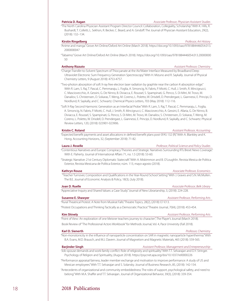### **Patricia D. Ragan** *Associate Professor, Physician Assistant Studies*

"The North Carolina Physician Assistant Program Director Council: Collaboration, Collegiality, Scholarship." With K. Hills, R. Bushardt, T. Colletti, L. Sekhon, R. Becker, C. Beard, and A. Gindoff. The Journal of Physician Assistant Education, 29(2), (2018): 132–134.

### **Kirstin Ringelberg** *Professor, Art History*

"Anime and manga." Grove Art Online/Oxford Art Online (March 2018). https://doi.org/10.1093/oao/9781884446054.013. 2000000047

"Tabaimo." Grove Art Online/Oxford Art Online (March 2018). https://doi.org/10.1093/oao/9781884446054.013.20000000 50

"Charge-Transfer-to-Solvent Spectrum of Thiocyanate at the Air/Water Interface Measured by Broadband Deep Ultraviolet Electronic Sum Frequency Generation Spectroscopy." With H. Mizuno and R. Saykally. Journal of Physical Chemistry Letters, 9 (August 2018): 4753-4757.

"Two-photon absorption of soft X-ray free electron laser radiation by graphite near the carbon K-absorption edge." With R. Lam, S. Raj, T. Pascal, C. Pemmaraju, L. Foglia, A. Simoncig, N. Fabris, P. Miotti, C. Hull, J. Smith, R. Mincigrucci, C. Masciovecchio, A. Gessini, G. De Ninno, B. Diviacca, E. Roussel, S. Spampinati, G. Penco, S. Di Mitri, M. Trovo, M. Danailov, S. Christensen, D. Sokaras, T. Weng, M. Coreno, L. Poletto, W. Drisdell, D. Prendergast, L. Giannessi, E. Principi, D. Nordlund, R. Saykally, and C. Schwartz. Chemical Physics Letters, 703 (May 2018): 112-116.

"Soft X-Ray Second Harmonic Generation as an Interfacial Probe." With R. Lam, S. Raj, T. Pascal, C. Pemmaraju, L. Foglia, A. Simoncig, N. Fabris, P. Miotti, C. Hull, J. Smith, R. Mincigrucci, C. Masciovecchio, A. Gessini, E. Allaria, G. De Ninno, B. Diviacca, E. Roussel, S. Spampinati, G. Penco, S. Di Mitri, M. Trovo, M. Danailov, S. Christensen, D. Sokaras, T. Weng, M. Coreno, L. Poletto, W. Drisdell, D. Prendergast, L. Giannessi, E. Principi, D. Nordlund, R. Saykally, and C. Schwartz. Physical Review Letters, 120, (2018): 023901-023906.

### **Kristin C. Roland** *Assistant Professor, Accounting*

"Expected benefit payments and asset allocations in defined benefit plans post-SFAS 132 (R)." With A. Blankley and K. Hong. Accounting Horizons, 32, (September 2018): 71-82.

### **Laura J. Roselle** *Professor, Political Science and Policy Studies*

"Contentious Narratives and Europe: Conspiracy Theories and Strategic Narratives Surrounding RTs Brexit News Coverage." With E. Flaherty. Journal of International Affairs 71, no. 1.5 (2018): 53-60.

"Strategic Narrative: 21st Century Diplomatic Statecraft." With A. Miskimmon and B. O'Loughlin. Revista Mexica de Politica Exterior, Revista Mexicana de Política Exterior, núm. 113, mayo-agosto (2018).

### **Kathryn Rouse** *Associate Professor, Economics*

 "Teacher Turnover, Composition and Qualifications in the Year-Round School Setting." With J. Graves and S.N. McMullen. The B.E. Journal of Economic Analysis & Policy, 18(3), (July 2018).

"Appreciative Inquiry and Shared Values: a Case Study." Journal of New Librarianship, 3, (2018): 224-228.

"Rural Theatrical Protest: A Note from Muskrat Falls." Theatre Topics, 28(2), (2018): E7-E13.

"Protest Occupations and Thinking Tactically as a Democratic Practice." Theatre Journal, 70(4), (2018): 453-454.

"Point of View: An exploration of one Meisner teachers journey to character", The Player's Journal (March 2018).

Book Review of "The Professional Actors Workbook" for Methods Journal, Vol. 4, Pace University (Fall 2018).

### **Karl D. Sienerth** *Professor, Chemistry*

"Non-monotonicity in the influence of nanoparticle concentration on SAR in magnetic nanoparticle hyperthermia." With B.A. Evans, M.D. Brausch, and M.J. Davern. Journal of Magnetism and Magnetic Materials, 465 (2018): 559-565.

### **Barjinder Singh** *Assistant Professor, Management and Entrepreneurship*

"Job-spouse demands and work-family conflict: Role of religiosity and spirituality." With T.T. Selvarajan and D.Y. Stringer. Psychology of Religion and Spirituality, (August 2018). https://psycnet.apa.org/doi/10.1037/rel0000226

"Performance appraisal fairness, leader member exchange and motivation to improve performance: A study of US and Mexican employees." With T.T. Selvarajan and S. Solansky. Journal of Business Research, 85, (2018): 142-154.

"Antecedents of organizational and community embeddedness: The roles of support, psychological safety, and need to belong." With M.A. Shaffer and T.T. Selvarajan. Journal of Organizational Behavior, 39(3), (2018): 339-354.

### **Anthony Rizzuto** *Assistant Professor, Chemistry*

**Joan D. Ruelle** *Associate Professor, Belk Library*

**Susanne E. Shawyer** *Assistant Professor, Performing Arts*

### **Kim Shively** *Assistant Professor, Performing Arts*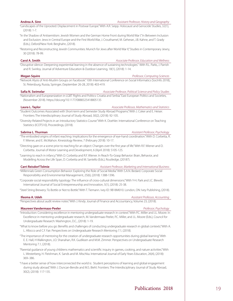### **Andrea A. Sinn** *Assistant Professor, History and Geography*

"Landscapes of the Uprooted: Displacement in Postwar Europe." With A.R. Seipp. Holocaust and Genocide Studies, 32(1), (2018): 1-7.

"In the Shadow of Antisemitism: Jewish Women and the German Home Front during World War I." In Between Inclusion and Exclusion: Jews in Central Europe and the First World War, J. Crouthamel, M. Geheran, J.B. Kahne, and T. Grady (Eds.), Oxford/New York: Berghahn, (2018).

"Restoring and Reconstructing Jewish Communities: Munich for Jews after World War II," Studies in Contemporary Jewry, 30 (2018): 78-99.

**Carol A. Smith** *Associate Professor, Education and Wellness*

"Disruptive silence: Deepening experiential learning in the absence of sustaining technologies." With R.L. Parks, J. Parrish and R. Swirksy. Journal of Adventure Education & Outdoor Learning, 18(1), (2018): 1-14.

### **Megan Squire** *Professor, Computing Sciences*

"Network Alysis of Anti-Muslim Groups on Facebook." 10th International Conference on Social Informatics (SocInfo 2018), St. Petersburg, Russia, Springer, (September 26-28, 2018): 403-419.

**Safia N. Swimelar** *Associate Professor, Political Science and Policy Studies*

"Nationalism and Europeanization in LGBT Rights and Politics: Croatia and Serbia." East European Politics and Societies, (November 2018). https://doi.org/10.1177/0888325418805135

**Laura L. Taylor** *Associate Professor, Mathematics and Statistics*

"Student Outcomes Associated with Short-term and Semester Study Abroad Programs." With J. Coker and E. Heiser. Frontiers: The Interdisciplinary Journal of Study Abroad, 30(2), (2018): 92-105.

"Diversity-Related Projects in an Introductory Statistics Course." With K. Doehler. International Conference on Teaching Statistics (ICOTS10), Proceedings, (2018).

**Sabrina L. Thurman** *Assistant Professor, Psychology* "The embodied origins of infant reaching: Implications for the emergence of eye-hand coordination." With D. Corbetta, R.

"Directing gaze on a scene prior to reaching for an object: Changes over the first year of life." With R.F. Wiener and D. Corbetta. Journal of Motor Learning and Development, 6 (April 2018): S105-125.

F. Wiener, and E. McMahon. Kinesiology Review, 7 (February 2018): 10-17.

"Learning to reach in infancy." With D. Corbetta and R.F. Wiener. In Reach-To-Grasp Behavior: Brain, Behavior, and Modelling Across the Life Span, D. Corbetta and M. Santello (Eds.), Routledge, (20187).

**Carri Reisdorf Tolmie** *Assistant Professor, Marketing and International Business*

"Millennials Green Consumption Behavior: Exploring the Role of Social Media." With S.A.N. Bedard. Corporate Social Responsibility and Environmental Management, 25(6), (2018): 1388-1396.

"Corporate social responsibility typology: The influence of cross-cultural dimensions." With Y-H. Park and J.C. Blewitt. International Journal of Social Entrepreneurship and Innovation, 5(1), (2018): 25-38.

"Steel String Brewery: To Bottle or Not to Bottle." With T. Tiemann. Ivey ID: 9B18M010. London, ON: Ivey Publishing, (2018).

**Ifeoma A. Udeh** *Assistant Professor, Accounting*

"Perspectives about audit review notes." With J. Kindy. Journal of Finance and Accountancy, Volume 23, (2018).

### **Maureen Vandermaas-Peeler** *Professor, Psychology*

"Introduction: Considering excellence in mentoring undergraduate research in context." With P.C. Miller and J.L. Moore. In Excellence in mentoring undergraduate research, M. Vandermaas-Peeler, P.C. Miller, and J.L. Moore (Eds.), Council for Undergraduate Research: Washington, D.C., (2018): 1-19.

"What to know before you go: Benefits and challenges of conducting undergraduate research in global contexts." With A. L. Allocco and C.F. Fair. Perspectives on Undergraduate Research Mentoring 7.1, (2018).

"The importance of mentoring for the creation of undergraduate research opportunities during global learning." With E. E. Hall, H Walkington, J.O. Shanahan, R.K. Gudiksen and M.M. Zimmer. Perspectives on Undergraduate Research Mentoring 7.1, (2018).

"Parental guidance of young childrens mathematics and scientific inquiry in games, cooking, and nature activities." With L. Westerberg, H. Fleishman, K. Sands and M. Mischka. International Journal of Early Years Education, 26(4), (2018): 369–386.

"I have a better sense of how interconnected the world is: Student perceptions of learning and global engagement during study abroad." With J. Duncan-Bendix and M.S. Biehl. Frontiers: The Interdisciplinary Journal of Study Abroad, 30(2), (2018): 117-135.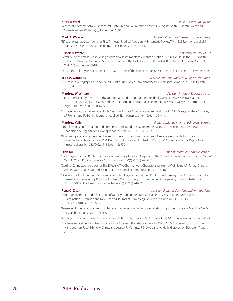"WhereYat?: Accents of New Orleans: Yat, Uptown, and Cajun French Accents in English." With A. Preeshl. Voice and Speech Review (VSR), 12(3), (November 2018).

**Mark A. Weaver** *Assistant Professor, Mathematics and Statistics*

"Efficacy of Misoprostol Alone for First-Trimester Medical Abortion: A Systematic Review." With E.G. Raymond and M.S. Harrison. Obstetrics and Gynecology, 133 (January 2019): 137-147.

### **Allison R. Wente** *Assistant Professor, Music*

"Better Music at Smaller Cost: Selling Mechanical Instruments to American Motion Picture Houses in the 1910's." With J. Buhler. In Music and Sound in Silent Cinema: From the Nickelodeon to The Artist, R. Barton and S. Trezise (Eds.), New York, NY, Routledge, (2018).

"Queue the Roll: Taylorized Labor Practices and Music of the Machine Age." Music Theory Online, 24(4), (December 2018).

### **Tedd A. Wimperis** *Assistant Professor, World Languages and Cultures*

"A Humanist Autograph Lost and Found: Mattia Lupis Anles Geminianenses." Humanistica Lovaniensia, 67(1), (March 2018): 47-68.

**Matthew W. Wittstein** *Assistant Professor, Exercise Science*

"Cardiac and gait rhythms in healthy younger and older adults during treadmill walking tasks." With J.M. Starobin, R.J. Schmitz, S.J. Shulz, F.J. Haran, and C.K. Rhea. Aging Clinical and Experimental Research, (May 2018). https://doi. org/10.1007/s40520-018-0962-5

"Changes in Posture Following a Single Session of Long-Duration Water Immersion." With S.M. Glass, C.K. Rhea, S.E. Ross, J.P. Florian, and F.J. Haran. Journal of Applied Biomechanics, 34(6), (2018): 435-441.

**Matthew Valle** *Professor, Management and Entrepreneurship*

"Ethical leadership, frustration, and humor: A moderated-mediation model." With K. Kacmar and M.A. Andrews. Leadership & Organization Development Journal, 39(5), (2018): 665-678.

"Abusive supervision, leader-member exchange and moral disengagement: A moderated-mediation model of organizational deviance." With K.M. Kacmar, S. Zivnuska, and T. Harting. (2018): 1-14. Journal of Social Psychology. https://doi.org/10.1080/00224545.2018.1466776

**Qian Xu** *Associate Professor, Communications*

- "User Engagement in Public Discourse on Genetically Modified Organisms: The Role of Opinion Leaders on Social Media." With N. Yu and Y. Song. Science Communication, 40(6), (2018): 691-717.
- "Getting Connected while Aging: The Effects of WeChat Network Characteristics on the Well-Being of Mature Chinese Adults." With J. Rui, N. Yu, and X. Cui. Chinese Journal of Communication, 11, (2018).

"Dynamics of Health Agency Response and Public Engagement during Public Health Emergency: A Case Study of CDC Tweeting Pattern during 2016 Zika Epidemic." With S. Chen, J. Buchenberger, A. Bagavathi, G. Fair, S. Shaikh, and S. Krishn. JMIR Public Health and Surveillance, 4(4), (2018): e10827.

### **Rena C. Zito** *Assistant Professor, Sociology and Anthropology*

"Institutional Anomie and Justification of Morally Dubious Behavior and Violence Cross-nationally: A Multilevel Examination." Australian and New Zealand Journal of Criminology, online first (June 2018): 1-22. DOI: 10.1177/0004865818785653

"Teenage Motherhood and Personal Transformation: A Counterfactual Analysis using Propensity Score Matching." SAGE Research Methods Cases, online (2018).

"Identifying Deviant Behavior." In Sociology in Action K. Korgen and M. Atkinson (Eds.), SAGE Publications (January 2018).

 "Racisms and Crime: Racialized Elaborations of General Theories of Offending." With S. De Coster and J. Lutz. In The Handbook on Race, Ethnicity, Crime, and Justice, R. Martinez, J. Stowell, and M. Hollis (Eds.), Wiley-Blackwell (August 2018).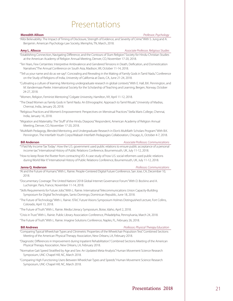# Presentations

<span id="page-22-0"></span>**Meredith Allison** *Professor, Psychology*

"Alibi Believability: The Impact of Timing of Disclosure, Strength of Evidence, and Severity of Crime." With S. Jung and A. Benjamin. American Psychology-Law Society, Memphis, TN, March, 2018.

| Amy L. Allocco |  |  | Associate Professor, Religious Studies |
|----------------|--|--|----------------------------------------|
|                |  |  |                                        |

"Establishing Connection, Navigating Difference, and the Contours of Slum Religion." Society for Hindu-Christian Studies at the American Academy of Religion Annual Meeting, Denver, CO, November 17-20, 2018.

"Ten Years, Few Certainties: Interpretive Ambivalence and Gendered Tensions in Death, Deification, and Domestication Narratives." The Annual Conference on South Asia, Madison, WI, October 11-14, 2018.

"'Tell us your name and do as we say!': Concealing and Revealing in the Making of Family Gods in Tamil Nadu." Conference on the Study of Religions of India, University of California at Davis, CA, June 21-24, 2018.

"Cultivating a culture of learning: Mentoring undergraduate research in global contexts." With E. Hall, B.K. Pennington, and M. Vandermaas-Peeler. International Society for the Scholarship of Teaching and Learning, Bergen, Norway, October 24-27, 2018.

"Women, Religion, Feminist Mentoring." Colgate University, Hamilton, NY, April 11-12, 2018.

- "The Dead Women as Family Gods in Tamil Nadu: An Ethnographic Approach to Tamil Rituals." University of Madras, Chennai, India, January 20, 2018.
- "Religious Practices and Women's Empowerment: Perspectives on Menstrual Practices." Stella Maris College, Chennai, India, January 16, 2018.

"Migration and Materiality: The 'Stuff' of the Hindu Diaspora." Respondent, American Academy of Religion Annual Meeting, Denver, CO, November 17-20, 2018.

"Multifaith Pedagogy, Blended Mentoring, and Undergraduate Research in Elon's Multifaith Scholars Program." With B.K. Pennington. The Interfaith Youth Corps/Wabash Interfaith Pedagogies Collaboration, Chicago, IL, October 4-7, 2018.

**Bill Anderson** *Associate Professor, Communications*

"'I Paid My Income Tax Today': How the U.S. government used public relations to ensure public acceptance of a personal income tax." International History of Public Relations Conference, Bournemouth, UK, July 11-12, 2018.

"How to keep Rosie the Riveter from contracting VD: A case study of how U.S. social reformers used public relations during World War II." International History of Public Relations Conference, Bournemouth, UK, July 11-12, 2018.

**Janna Q. Anderson** *Professor, Communications*

"AI and the Future of Humans." With L. Rainie. People-Centered Digital Future Conference, San Jose, CA, December 10, 2018.

"Documentary Coverage: The United Nations' 2018 Global Internet Governance Forum." With D. Bockino and A. Luchsinger. Paris, France, November 11-14, 2018.

"Skills Requirements for Future Jobs." With L. Rainie. International Telecommunications Union Capacity-Building Symposium for Digital Technologies, Santo Domingo, Dominican Republic, June 18, 2018.

- "The Future of Technology." With L. Rainie. ISTeC Future Visions Symposium Holmes Distinguished Lecture, Fort Collins, Colorado, April 13, 2018.
- "The Future of Truth." With L. Rainie. Media Literacy Symposium, Boise, Idaho, April 2, 2018.

"Crisis in Trust." With L. Rainie. Public Library Association Conference, Philadelphia, Pennsylvania, March 24, 2018.

"The Future of Truth." With L. Rainie. Imagine Solutions Conference, Naples, FL, February 26, 2018.

### **Bill Andrews** *Professor, Physical Therapy Education*

- "Comparing Typical Wheelchair Types and Clinimetric Properties of the Wheelchair Propulsion Test." Combined Sections Meeting of the American Physical Therapy Association, New Orleans, LA, February 2018.
- "Diagnostic Differences in Improvement during Inpatient Rehabilitation." Combined Sections Meeting of the American Physical Therapy Association, New Orleans, LA, February 2018.
- "Normative Gait Speed Stratified by Age and Sex: An Updated Meta-Analysis." Human Movement Science Research Symposium, UNC-Chapel Hill, NC, March 2018.
- "Comparing High Functioning Users Between Wheelchair Types and Speeds." Human Movement Science Research Symposium, UNC-Chapel Hill, NC, March 2018.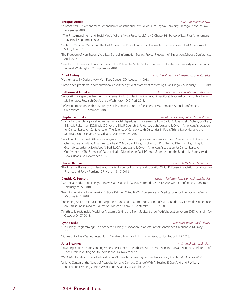"Fainthearted First Amendment Lochnerism." Constitutional Law Colloquium, Loyola University Chicago School of Law, November 2018.

- "The First Amendment and Social Media: What (If Any) Rules Apply?" UNC-Chapel Hill School of Law First Amendment Day Panel, September 2018.
- "Section 230, Social Media, and the First Amendment." Yale Law School Information Society Project First Amendment Salon, April 2018.
- "The Freedom of Non-Speech." Yale Law School Information Society Project Freedom of Expression Scholars' Conference, April 2018.
- "Freedom of Expression Infrastructure and the Role of the State." Global Congress on Intellectual Property and the Public Interest, Washington DC, September 2018.

### **Chad Awtrey** *Associate Professor, Mathematics and Statistics*

"Some open problems in computational Galois theory." Joint Mathematics Meetings, San Diego, CA, January 10-13, 2018.

### **Katherine A.G. Baker** *Assistant Professor, Education and Wellness*

"Supporting Prospective Teachers Engagement with Student Thinking About Fractions." National Council of Teacher of Mathematics Research Conference, Washington, D.C., April 2018.

"Reflection to Action." With M. Smithey. North Carolina Council of Teachers of Mathematics Annual Conference, Greensboro, NC, November 2018.

"Mathematics By Design." MAA MathFest, Denver, CO, August 1-4, 2018.

"Examining the role of perceived respect on racial disparities in cancer-related pain." With C.A. Samuel, J. Schaal, O. Mbah, E. Eng, L. Robertson, K.Z. Black, C. Dixon, K. Ellis, F. Guerrab, L. Jordan, A. Lightfoot, and S. Cykert. American Association for Cancer Research Conference on The Science of Cancer Health Disparities in Racial/Ethnic Minorities and the Medically Underserved, New Orleans, LA, November 2018.

"Racial and Educational Differences in Symptom Burden and Supportive Care among Breast Cancer Patients Undergoing Chemotherapy." With C.A. Samuel, J. Schaal, O. Mbah, W. Elkins, L. Robertson, K.Z. Black, C. Dixon, K. Ellis, E. Eng, F. Guerrab, L. Jordan, A. Lightfoot, N. Padilla, C. Younge, and S. Cykert. American Association for Cancer Research Conference on The Science of Cancer Health Disparities in Racial/Ethnic Minorities and the Medically Underserved, New Orleans, LA, November 2018.

### **Steven Bednar** *Associate Professor, Economics*

"The Effect of Breaks on Student Productivity: Evidence from Physical Education." With K. Rouse. Association for Education Finance and Policy, Portland, OR, March 15-17, 2018

### **Cynthia C. Bennett** *Assistant Professor, Physician Assistant Studies*

- "LGBT Health Education in Physician Assistant Curricula." With K. Vornheder. 2018 NCAPA Winter Conference, Durham NC, February 24-27, 2018.
- "Teaching Anatomy Using Anatomic Body Painting." 22nd IAMSE Conference on Medical Science Education, Las Vegas, NV, June 9-12, 2018.
- "Enhancing Anatomy Education Using Ultrasound and Anatomic Body Painting." With J. Bludorn. Sixth World Conference on Ultrasound in Medical Education, Winston-Salem NC, September 13-16, 2018.
- "An Ethically Sustainable Model for Anatomic Gifting at a Non-Medical School." PAEA Education Forum 2018, Anaheim CA, October 24-27, 2018.

### **Lynne Bisko** *Associate Librarian, Belk Library*

"Fun Library Programming." Triad Academic Library Association Paraprofessional Conference, Greensboro, NC, May 16, 2018.

"Outreach for First-Year Athletes." North Carolina Bibliographic Instruction Group, Elon, NC, July 25, 2018.

### **Julia Bleakney** *Assistant Professor, English*

"Lowering Barriers: Understanding Writers' Resistance to Feedback." With M. Mattison and J. Ryan. National Conference of Peer Tutors in Writing, South Padre Island, TX, November 2018.

"IWCA Mentor Match Special Interest Group." International Writing Centers Association, Atlanta, GA, October 2018.

"Writing Centers at the Nexus of Accreditation and Campus Change." With A. Beasley, F. Crawford, and J. Wilson. International Writing Centers Association, Atlanta, GA, October 2018.

### **Stephanie L. Baker** *Assistant Professor, Public Health Studies*

**Enrique Armijo** *Associate Professor, Law*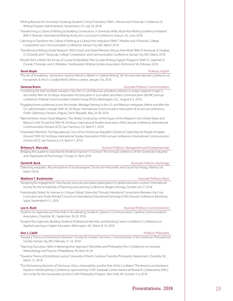"Writing Beyond the University: Fostering Students' Critical Transitions." With J. Moore and P. Rosinski. Conference of Writing Program Administrators, Sacramento, CA, July 29, 2018.

- "Transforming a Culture of Writing by Building Connections: A University-Wide, Multi-Year Writing Excellence Initiative." With P. Rosinski. International Writing Across the Curriculum Conference, Auburn, AL, June 2018.
- "Laboring to Transform the Culture of Writing at a Liberal Arts Institution." With T. Peeples and P. Rosinski. College Composition and Communication Conference, Kansas City, MO, March 2018.
- "Transforming Writing Center Research: IWCA Grant and Award Winners Discuss their Work." With R. Nowacek, B. Hughes, D. Scharold, and T. Rousculp. College Composition and Communication Conference, Kansas City, MO, March 2018.
- "Results from a Multi-Site Survey of Course-Embedded/ Peer-to-peer Writing Support Programs." With R. Carpenter, K. Dvorak, P. Rosinski, and S. Whiddon. Southeastern Writing Centers Association, Richmond, VA, February 2018.

### **Kevin Boyle** *Professor, English*

"The Art of Translating: Going from Good to Worse to Better in Creative Writing." 5th Annual International Conference on Humanities & Arts in a Global World, Athens, Greece, January 3-6, 2018.

### **Vanessa Bravo** *Associate Professor, Communications*

- "Contesting the 'bad hombres' narrative: How the U.S. and Mexican presidents attempt to shape migrants' image in the media." With M. De Moya. Association for Education in Journalism and Mass Communication (AEJMC) annual conference, Political Communication Interest Group (PCIG), Washington, D.C., August 6-9, 2018.
- "Engaging home audiences across the border: Message framing in the U.S. and Mexican embassies before and after the U.S. administration change." With M. De Moya. International Communication Association (ICA) annual conference, Public Diplomacy Division, Prague, Czech Republic, May 24-28, 2018.
- "'Bad Hombres' versus 'Good Migrants': The Media Construction of the Figure of the Migrant in the United States and Mexico in the Trump Era." With M. De Moya. International Studies Association (ISA)'s annual conference, International Communication Division (ICD), San Francisco, CA, April 4-7, 2018.
- "Unwanted Attention: The Reputational Costs of the Dominican Republic's Denial of Citizenship for People of Haitian Descent." With M. De Moya. International Studies Association (ISA)'s annual conference, International Communication Division (ICD), San Francisco, CA, April 4-7, 2018.

### **Brittany K. Mercado** *Assistant Professor, Management and Entrepreneurship*

"Bridging the academic-practitioner divide to improve I-O science." The Annual Conference of the Society for Industrial and Organizational Psychology, Chicago, IL, April 2018.

### **David M. Buck** *Associate Professor, Psychology Associate Professor, Psychology*

"Detecting inequality: Ally perceptions of social progress." Society for Personality and Social Psychology, Atlanta, GA, March 2018.

### **Matthew T. Buckmaster** *Associate Professor, Music*

"Designing for engagement: How faculty structure and assess 'participation' in global education courses." International Society for the Scholarship of Teaching and Learning Conference, Bergen, Norway, October 24-27, 2018.

"Intentionally Global: An Avenue to Critique Global Citizenship Through Intentional Connections Between the Core Curriculum and Study Abroad." Council on International Educational Exchange (CIEE) Annual Conference, Barcelona, Spain, November 8-11, 2018.

### **Lee A. Bush** *Associate Professor, Communications*

"Student-run Agencies and Their Role in Accelerating Students' Careers in Communication." Carolina Communications Association, Charlotte, NC, September 28-29, 2018.

"Student-Run Agencies: Building Students' Professional Identities and Boosting Career Confidence." Conference on Applied Learning in Higher Education, Wilmington, NC, March 8-10, 2018.

### **Ann J. Cahill** *Professor, Philosophy*

"Toward a Theory of (Inter)Vocal Liberation." Society for Analytic Feminism, Central Division of the American Philosophical Society, Kansas City, MO, February 21-24, 2018.

- "Teaching Discussion Skills: A Metacognitive Approach." Minorities and Philosophy-Penn Conference on Inclusive Methodology and Practice, Philadelphia, PA, April 16-18.
- "Toward a Theory of (Inter)Vocal Justice." University of North Carolina-Charlotte Philosophy Department, Charlotte, NC, March 21, 2018.
- "The Shimmering Moment of Disclosure: Ethics, Vulnerability, and the Role of the Confidant." The #metoo and Epistemic Injustice Interdisciplinary Conference, sponsored by CUNY Graduate Center Advanced Research Collaborative (ARC), the Center for the Humanities, and the CUNY Philosophy Program, New York, NY, October 5-6, 2018.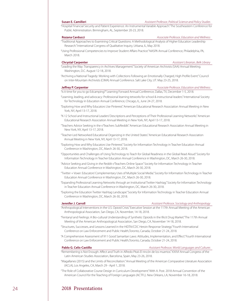**Susan E. Camilleri** *Assistant Professor, Political Science and Policy Studies*

"Hospital Financial Security and Patient Experience: An Instrumental Variable Approach." The Southeastern Conference for Public Administration. Birmingham, AL, September 20-23, 2018.

**Rozana Carducci** *Associate Professor, Education and Wellness*

- "Traditional Approaches to Examining Critical Questions: A Methodological Analysis of Higher Education Leadership Research." International Congress of Qualitative Inquiry, Urbana, IL, May 2018.
- "Using Professional Competencies to Improve Student Affairs Practice." NASPA Annual Conference, Philadelphia, PA, March 2018.

**Chrystal Carpenter** *Assistant Librarian, Belk Library*

- "Leading the Way: Transparency in Archives Management." Society of American Archivists (SAA) Annual Meeting. Washington, D.C. August 12-18, 2018.
- "Archiving a National Tragedy: Working with Collections Following an Emotionally Charged, High Profile Event." Council on Inter-Mountain Archivists (CIMA) Annual Conference. Salt Lake City, UT. May 23-25, 2018.

**Jeffrey P. Carpenter** *Associate Professor, Education and Wellness* "Is it time for you to go Edcamping?" Learning Forward Annual Conference, Dallas, TX, December 1-5, 2018.

- "Learning, leading, and advocacy: Professional learning tetworks for school & instructional leaders." International Society for Technology in Education Annual Conference, Chicago, IL, June 24-27, 2018.
- "Exploring How and Why Educators Use Pinterest." American Educational Research Association Annual Meeting in New York, NY, April 13-17, 2018.
- "K-12 School and Instructional Leaders' Descriptions and Perceptions of Their Professional Learning Networks." American Educational Research Association Annual Meeting in New York, NY, April 13-17, 2018.
- "Teachers Advice Seeking in the r/Teachers SubReddit." American Educational Research Association Annual Meeting in New York, NY, April 13-17, 2018.
- "Teacher-Led Networked Educational Organizing in the United States." American Educational Research Association Annual Meeting in New York, NY, April 13-17, 2018.
- "Exploring How and Why Educators Use Pinterest." Society for Information Technology in Teacher Education Annual Conference in Washington, DC, March 26-30, 2018.
- "Opportunities and Challenges of Using Technology to Teach for Global Readiness in the Global Read Aloud." Society for Information Technology in Teacher Education Annual Conference in Washington, DC, March 26-30, 2018.
- "Advice Seeking and Giving in the Reddit r/Teachers Online Space." Society for Information Technology in Teacher Education Annual Conference in Washington, DC, March 26-30, 2018.
- "Twitter + Voxer: Educators' Complementary Uses of Multiple Social Media." Society for Information Technology in Teacher Education Annual Conference in Washington, DC, March 26-30, 2018.
- "Expanding Professional Learning Networks through an Institutional Twitter Hashtag." Society for Information Technology in Teacher Education Annual Conference in Washington, DC, March 26-30, 2018.
- "Exploring the Education Twitter Hashtag Landscape." Society for Information Technology in Teacher Education Annual Conference in Washington, DC, March 26-30, 2018.

### **Jennifer J. Carroll** *Assistant Professor, Sociology and Anthropology*

- "Anthropological Interventions in the U.S. Opioid Crisis." Executive Session at the 117th Annual Meeting of the American Anthropological Association, San Diego, CA, November, 14-18, 2018.
- "Fentanyl and Feelings: A Bio-cultural Understanding of Synthetic Opioids in the Illicit Drug Market." The 117th Annual Meeting of the American Anthropological Association, San Diego, CA, November 14-18, 2018.
- "Structures, Successes, and Lessons Learned in the HIDTA/CDC Heroin Response Strategy." Fourth International Conference on Law Enforcement and Public Health,Toronto, Canada, October 21-24, 2018.
- "A Comprehensive Assessment of 911 Good Samaritan Laws: Attitudes, Implementation, and Effect." Fourth International Conference on Law Enforcement and Public Health,Toronto, Canada, October 21-24, 2018.

**Pablo G. Celis-Castillo** *Assistant Professor, World Languages and Cultures*

- "Remembering is Not Enough: Affect and Truth in Alfredo Pita's El rincón de los muertos." XXXVI Annual Congress of the Latin American Studies Association, Barcelona, Spain, May 23-26, 2018.
- "Magallanes (2015) and the Limits of Reconciliation." Annual Meeting of the American Comparative Literature Association (ACLA), Los Angeles, CA, March 29 - April 1, 2018.
- "The Role of Collaborative Course Design in Curriculum Development." With A. Post. 2018 Annual Convention of the American Council for the Teaching of Foreign Languages (ACTFL). New Orleans, LA, November 16-18, 2018.

## 24 2018 Presentations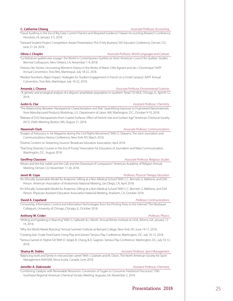### **C. Catherine Chiang** *Associate Professor, Accounting*

"Fraud Auditing in the Era of Big Data: Current Practice and Required Guidance." Hawaii Accounting Research Conference, Honolulu, HI, January 3-5, 2018.

"Steward Student Project Competition Award Presentation-This IS My Business." AIS Educator Conference, Denver, CO, June 21-24, 2018.

**Olivia J. Choplin** *Associate Professor, World Languages and Cultures* "'La littérature québécoise voyage': the World in Contemporary Québécois Texts." American Council for Québec Studies Biennial Colloquium, New Orleans, LA, November 1-4, 2018.

"History, Her Stories: Uncovering Women's History in the Works of Marie-Célie Agnant and Jan J. Dominique." AATF Annual Convention, Trois Îlets, Martinique, July 18-22, 2018.

"Modest Numbers, Major Impact: Strategies for Student Engagement in French on a Small Campus." AATF Annual Convention, Trois Îlets, Martinique, July 18-22, 2018.

### **Amanda J. Chunco** *Associate Professor, Environmental Sciences*

 "A genetic and ecological analysis of a disjunct amphibian population in southern Texas." US-IALE, Chicago, IL, April 8-12, 2018.

**Justin G. Clar** *Assistant Professor, Chemistry*

"The Relationship Between Nanoparticle Characterization and Risk." Quantifying Exposure to Engineered Nanomaterials from Manufactured Products Workshop, U.S. Department of Labor, NW, Washington, D.C., October 9-10, 2018.

"Release of ZnO Nanoparticles from Coated Surfaces: Effect of Particle Size and Surface Age." American Chemical Society (ACS) 256th Meeting, Boston, MA, August 21, 2018.

### **Naeemah Clark** *Associate Professor, Communications*

"Images of Advocacy in Jet Magazine during the Civil Rights Movement." With D. Deavens. The Joint Journalism and Communications History Conference, New York, NY, March 2018.

"Diverse Content on Streaming Sources." Broadcast Educators Association, April 2018.

"Teaching Diversity Courses in the Era of Trump." Association for Educators of Journalism and Mass Communication, Washington, D.C., August 2018.

**Geoffrey Claussen** *Associate Professor, Religious Studies*

"Moses and the Kid, Judah and the Calf, and the Disavowal of Compassion." American Academy of Religion Annual Meeting, Denver, CO, November 17-20, 2018.

**Janet M. Cope** *Professor, Physical Therapy Education*

"An Ethically Sustainable Model for Anatomic Gifting at a Non-Medical School." With C.C. Bennett, G. Balilionis, and D.M. Person. American Association of Anatomists National Meeting, San Diego, CA, April 2018.

"An Ethically Sustainable Model for Anatomic Gifting at a Non-Medical School." With C.C. Bennett, G. Balilionis, and D.M. Person. Physician Assistant Education Association National Meeting, Anaheim, CA, October 2018.

### **David A. Copeland** *Professor, Communications*

"Censorship, Information Control and Information Technologies from the Printing Press to the Internet." The Neubauer Collegium, University of Chicago, Chicago, IL, October 2018.

### **Anthony W. Crider** *Professor, Physics*

"Writing and Speaking in Reacting." With G. Galbraith & J. Worth. Annual Winter Institute at UGA, Athens, GA, January 12- 14, 2018.

"Why the World Needs Reacting." Annual Summer Institute at Barnard College, New York, NY, June 14-17, 2018.

"Creating Epic Finale Final Exams Using Play and Games." Serious Play Conference, Washington, DC, July 10-12, 2018.

"Serious Games in Higher Ed." With D. Siegel, B. Chang, & D. Gagnon. Serious Play Conference. Washington, DC, July 10-12, 2018.

**Shaina M. Dabbs** *Assistant Professor, Sport Management*

"Balancing work and family in mid and late career." With J. Graham and M. Dixon, The North American Society for Sport Management (NASSM), Nova Scotia, Canada, June 2018.

**Jennifer A. Dabrowski** *Assistant Professor, Chemistry Assistant Professor, Chemistry* 

"Combining Catalysis with Renewable Resources. Conversion of Sugars to Consumer Feedstock Precursors." 70th Southeast Regional American Chemical Society Meeting, Augusta, GA, November 2, 2018.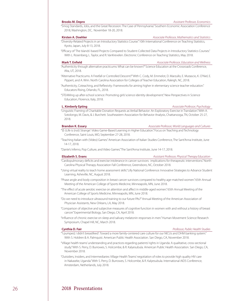"Smog Standards, Jobs, and the Great Recession: The Case of Pennsylvania." Southern Economic Association Conference 2018, Washington, DC, November 18-20, 2018.

### **Kirsten A. Doehler** *Associate Professor, Mathematics and Statistics*

"Diversity-Related Projects in an Introductory Statistics Course." 10th International Conference on Teaching Statistics, Kyoto, Japan, July 8-13, 2018.

"Efficacy of 'The Islands'-based Projects Compared to Student-Collected Data Projects in Introductory Statistics Courses." With L. Rosenberg, L. Taylor, and R. VanKrevelen. Electronic Conference on Teaching Statistics, May 2018.

### **Mark T. Enfield** *Associate Professor, Education and Wellness*

"Authenticity through alternative practicums: What can be known?" Science Education at the Crossroads Conference, Alta, UT, 2018.

"Alternative Practicums: A Freefall or Controlled Descent?" With C. Cody, M. Emmelot, D. Marzullo, E. Mutascio, K. O'Niel, E. Pippert, and A. Wrin. North Carolina Association for Colleges of Teacher Education, Raleigh, NC, 2018.

"Authenticity, Coteaching, and Reflexivity: Frameworks for aiming higher in elementary science teacher education." Educators Rising, Orlando, FL, 2018.

"STEAMing up after-school science: Promoting girls' science identity development." New Perspectives in Science Education, Florence, Italy, 2018.

**L. Kimberly Epting** *Associate Professor, Psychology*

"Linguistic Framing of Charitable Donation Requests as Verbal Behavior: An Exploratory Exercise in Translation." With A. Sotolongo, M. Davis, & J. Burchett. Southeastern Association for Behavior Analysis, Chattanooga, TN, October 25-27, 2018.

**Brandon K. Essary** *Associate Professor, World Languages and Cultures*

"'(E-)Life is (not) Strange': Video Game-Based Learning in Higher Education." Focus on Teaching and Technology Conference, Saint Louis, MO, September 27-28, 2018.

"Teaching Italian with (Video) Games." American Association of Italian Studies Conference, The Sant'Anna Institute, June 14-17, 2018.

"Dante's Inferno, Pop Culture, and Video Games." The Sant'Anna Institute, June 14-17, 2018.

**Elizabeth S. Evans** *Assistant Professor, Physical Therapy Education*

"Cardiopulmonary deficits and exercise intolerance in cancer survivors: implications for therapeutic interventions." North Carolina Physical Therapy Association Fall Conference, Greensboro, NC, October 2018.

"Using virtual reality to teach home assessment skills." Lilly National Conference: Innovative Strategies to Advance Student Learning, Asheville, NC, August 2018.

"Phase angle and body composition in breast cancer survivors compared to healthy age-matched women." 65th Annual Meeting of the American College of Sports Medicine, Minneapolis, MN, June 2018.

"The effect of acute aerobic exercise on attention and affect in middle-aged women." 65th Annual Meeting of the American College of Sports Medicine, Minneapolis, MN, June 2018.

"Do we need to introduce ultrasound training to our future PAs?" Annual Meeting of the American Association of Physician Assistants, New Orleans, LA, May 2018.

"Comparison of objective and subjective measures of cognitive function in women with and without a history of breast cancer." Experimental Biology, San Diego, CA, April 2018.

"Influence of chronic exercise on sleep and salivary melatonin responses in men." Human Movement Science Research Symposium, Chapel Hill, NC, March 2018.

### **Cynthia D. Fair** *Professor, Public Health Studies*

"'I pumped, I didn't breastfeed': Toward a more family-centered care culture for our NICUs and DHM banking system." With S. Holdren & A. Palmquist. American Public Health Association. San Diego, CA, November 2018.

"Village health teams' understanding and practices regarding patients' rights in Uganda: A qualitative, cross-sectional study." With S. Perry, D. Burrowes, S. Holcombe, & R. Kalyesubula. American Public Health Association. San Diego, CA, November 2018.

"Outsiders, Insiders, and Intermediaries: Village Health Teams' negotiation of roles to provide high quality HIV care in Nakaseke, Uganda." With S. Perry, D. Burrowes, S. Holcombe, & R. Kalyesubula. International AIDS Conference, Amsterdam, Netherlands, July 2018.

### **Brooks M. Depro** *Assistant Professor, Economics*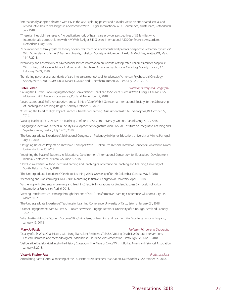- "Internationally adopted children with HIV in the U.S.: Exploring parent and provider views on anticipated sexual and reproductive health challenges in adolescence." With S. Alger. International AIDS Conference, Amsterdam, Netherlands, July 2018.
- "'These families did their research': A qualitative study of healthcare provider perspectives of US families who internationally adopt children with HIV." With S. Alger & E. Gibson. International AIDS Conference, Amsterdam, Netherlands, July 2018.
- "The influence of family systems theory obesity treatment on adolescents' and parents' perspectives of family dynamics." With M. Rogliano, L. Byrne, D. Garner-Edwards, J. Skelton. Society of Adolescent Health & Medicine, Seattle, WA, March 14-17, 2018.
- "Availability and accessibility of psychosocial service information on websites of top-rated children's cancer hospitals." With B. Krol, S. McCain, A. Moats, F. Music, and C. Ketcham. American Psychosocial Oncology Society. Tucson, AZ, February 22-24, 2018.
- "Translating psychosocial standards of care into assessment: A tool for advocacy." American Psychosocial Oncology Society. With B. Krol, S. McCain, A. Moats, F. Music, and C. Ketcham. Tucson, AZ, February 22-24, 2018.

### **Peter Felten** *Professor, History and Geography*

- "Raising the Curtain: Encouraging Backstage Conversations That Lead to Student Success." With J. Berg, J. Caulkins, & S. McGowan. POD Network Conference, Portland, November 17, 2018.
- "Love's Labors Lost? SoTL, Amateurism, and an Ethic of Care." With J. Geertsema. International Society for the Scholarship of Teaching and Learning, Bergen, Norway, October 27, 2018.
- "Assessing the Heart of High-Impact Practices: Transfer of Learning." Assessment Institute, Indianapolis, IN, October 22, 2018.

"Valuing Teaching." Perspectives on Teaching Conference, Western University, Ontario, Canada, August 30, 2018.

- "Engaging Students as Partners in Faculty Development on Signature Work." AAC&U Institute on Integrative Learning and Signature Work, Boston, July 17-20, 2018.
- "The Undergraduate Experience." 5th National Congress on Pedagogy in Higher Education, University of Minho, Portugal, July 13, 2018.
- "Designing Research Projects on Threshold Concepts." With S. Linkon. 7th Biennial Threshold Concepts Conference, Miami University, June 13, 2018.
- "Imagining the Place of Students in Educational Development." International Consortium for Educational Development Biennial Conference, Atlanta, GA, June 8, 2018.
- "How Do We Partner with Students in Learning and Teaching?" Conference on Teaching and Learning, University of South Alabama, May 7, 2018.
- "The Undergraduate Experience." Celebrate Learning Week, University of British Columbia, Canada, May 3, 2018.
- "Mentoring and Transforming." CNDLS-NHS Mentoring Initiative, Georgetown University, April 9, 2018.
- "Partnering with Students in Learning and Teaching." Faculty Innovations for Student Success Symposium, Florida International University, April 6, 2018.
- "Viewing Transformative Learning through the Lens of SoTL." Transformative Learning Conference, Oklahoma City, OK, March 10, 2018.
- "The Undergraduate Experience." Teaching for Learning Conference, University of Tartu, Estonia, January 24, 2018.
- "Learner Engagement." With M. Piatt & T. Lubicz-Nawrocka. Engage Network, University of Edinburgh, Scotland, January 18, 2018.
- "What Matters Most for Student Success?" King's Academy of Teaching and Learning. King's College London, England, January 15, 2018.

**Mary Jo Festle** *Professor, History and Geography*

- "Quality of Life: What Oral History with Lung Transplant Recipients Tells Us." Voicing Disability: Cultural Interventions, Ethical Dilemmas, and Methodological Possibilities/Cultural Studies Association, Pittsburgh, PA, June 1, 2018.
- "Deliberative Decision-Making in the History Classroom: The Place of Civics." With F. Burke. American Historical Association, January 5, 2018.

### **Victoria Fischer Faw** *Professor, Music*

"Articulating Bartók." Annual meeting of the Louisiana Music Teachers Association, Natchitoches, LA, October 25, 2018,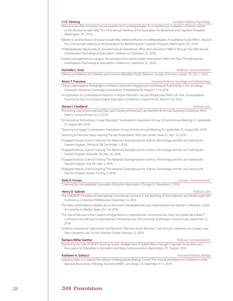"Resource use after unwanted sexual experiences in undergraduates: A comprehensive evaluation of factors related to the decision to seek help." The 52nd annual meeting of the Association for Behavioral and Cognitive Therapies, Washington, DC, 2018.

- "Barriers to and facilitators of sexual assault help-seeking behavior in undergraduates: A qualitative study." With E. Muscari. The 52nd annual meeting of the Association for Behavioral and Cognitive Therapies, Washington, DC, 2018.
- "Undergraduates' disclosures of unwanted sexual experiences: Who, why, and when?" With E. Muscari. The 64th annual Southeastern Psychological Association Conference, Charleston, SC, 2018.
- "Anxiety management on campus: An evaluation of a mobile health intervention." With A.M. Paul. The 64th annual Southeastern Psychological Association Conference, Charleston, SC, 2018.

### **Rochelle L. Ford** *Professor, Communications*

"Talking and Walking the Diversity and Inclusion Mandate." Public Relations Society of America, Austin, TX, Oct. 7, 2018.

### **Alexis T. Franzese** *Associate Professor, Sociology and Anthropology*

### "Using Contemplative Pedagogies to Enhance Authentic Engagement and Personal Authenticity in the Sociology Classroom." American Sociological Association, Philadelphia, PA, August 11-14, 2018.

"Incorporation of Contemplative Practices in Higher Education: Faculty Perspectives." With G.B. Flink. Contemplative Practices for the 21st Century Higher Education Conference, Chapel Hill, NC, March 9-10, 2018.

### **Steven I. Friedland** *Professor, Law*

- "Promoting Law School Learning That Lasts." Society of American Law Teachers Bi-Annual Teaching Conference, Penn State U. School of Law, Oct. 5, 2018.
- "Incorporating Technology in Legal Education." Southeastern Association of Law Schools Annual Meeting, Ft. Lauderdale, FL, August 8th, 2018.

"Teaching to Engage." Southeastern Association of Law Schools Annual Meeting, Ft. Lauderdale, FL, August 9th, 2018.

"Teaching to Promote Deep Learning." Faculty Presentation, NSU Law Center, Davie, FL, Nov. 16, 2018.

- "Engaged Forensic Science Training." The National Clearinghouse for Science, Technology and the Law Training the Trainers Program, Portland, OR, December 1, 2018.
- "Engaged Forensic Science Training." The National Clearinghouse for Science, Technology and the Law Training the Trainers Program, Knoxville, TN, Nov. 30, 2018.
- "Engaged Forensic Science Training." The National Clearinghouse for Science, Technology and the Law Training the Trainers Program, Erie, PA, Sept. 5, 2018.
- "Engaged Forensic Science Training." The National Clearinghouse for Science, Technology and the Law Training the Trainers Program, Austin, TX, Aug. 6, 2018.

"Covering the Unimaginable." Journalism Education Association, Chicago, IL, November 2, 2018.

### **Henry D. Gabriel** *Professor, Law*

- "The UNIDROIT Principles of International Commercial Contracts in the Teaching of Transnational Law." Global Legal Skills Conference, University of Melbourne, December 10, 2018.
- "The New United Nations Model Law on Electronic Transferable Records." Transnational Law Teacher Conference, Carlos III University in Madrid, Spain, Oct. 18, 2018.

"The Use of Soft Law in the Creation of Legal Norms in International Commercial Law: How Successful Has It Been?" Conference on Soft Law in International Commercial Law, The University of Michigan School of Law, September 21, 2018.

"Uniform Commercial Code Article Two Revisions: The View of the Trenches." 13th Annual Conference on Contract Law, Barry University Law School, Orlando, Florida, February 23, 2018.

### **Barbara Miller Gaither** *Professor, Communications*

"Examining the Case of DICK'S Sporting Goods: Realignment of Stakeholders through Corporate Social Advocacy." Association for Education in Journalism and Mass Communication, Washington, DC, August, 2018.

### **Kathleen K. Gallucci** *Associate Professor, Biology*

"Learning Gains in a Flipped Non-Majors Undergraduate Biology Course."The Annual Development Conference of the National Association of Biology Teachers (NABT), San Diego, CA, November 9-11, 2018.

### **Kelly R. Furnas** *Lecturer, Communications*

### **CJ E. Fleming** *Assistant Professor, Psychology*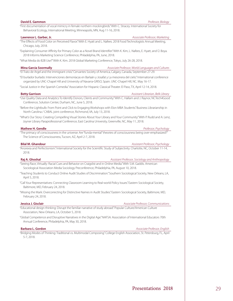### **David E. Gammon** *Professor, Biology*

"First documentation of vocal mimicry in female northern mockingbirds." With C. Stracey. International Society for Behavioral Ecology, International Meeting, Minneapolis, MN, Aug 11-16, 2018.

### **Lawrence L. Garber, Jr.** *Associate Professor, Marketing*

"The Effects of Food Color on Perceived Flavor." With E. Hyatt and L. Nafees. 2018 Food Technologists Annual Meeting, Chicago, July, 2018.

"Explaining Consumer Affinity for Primary Color as a Novel Brand Identifier." With K. Kim, L. Nafees, E. Hyatt, and Ü. Boya. 2018 Informs Marketing Science Conference, Philadelphia, PA, June, 2018.

"What Media do B2B Use?" With K. Kim. 2018 Global Marketing Conference, Tokyo, July 26-28, 2018.

### **Mina Garcia Soormally** *Associate Professor, World Languages and Cultures*

"El Trato de Argel and the immigrant crisis." Cervantes Society of America, Calgary, Canada, September 27-29.

"El burlador burlado: Intervenciones demoníacas en Barlaán y Josafat y La mesonera del cielo." International conference organized by UNC-Chapel Hill and University of Navarra-GRISO, Spain. UNC-Chapel Hill, NC. May 16-17.

"Social Justice in the Spanish Comedia." Association for Hispanic Classical Theater. El Paso, TX, April 12-14, 2018.

### **Betty Garrison** *Assistant Librarian, Belk Library*

"Use Quality Data and Analytics To Identify Donors, Clients and Community." With C. Hallam and J. Raynor, NCTech4Good Conference, Solution Center, Durham, NC, June 5, 2018.

"Before the Lightbulb: From Point and Click to Engaging Workshops with Elon MBA Students." Business Librarianship in North Carolina / CABAL joint conference, Richmond, VA, July 13, 2018.

"What's Our Story: Creating Compelling Visual Stories About Your Library and Your Community." With P. Rudd and A. Lenz, Joyner Library Paraprofessional Conference, East Carolina University, Greenville, NC, May 11, 2018.

### **Mathew H. Gendle** *Professor, Psychology*

"The primacy of consciousness in the universe: Are "funda-mental" theories of consciousness being over-emphasized?" The Science of Consciousness, Tucson, AZ, April 2-7, 2018.

### **Bilal M. Ghandour** *Assistant Professor, Psychology*

"Anorexia and Perfectionism." International Society for the Scientific Study of Subjectivity. Charlotte, NC, October 11-14, 2018.

**Raj A. Ghoshal** *Assistant Professor, Sociology and Anthropology**Assistant Professor, Sociology and Anthropology* 

"Seeing Race, Virtually: Racial Cues and Behavior on Craigslist and in Online Media." With S.M. Gaddis. American Sociological Association Media Sociology Preconference, Philadelphia, PA, August 10, 2018.

"Teaching Students to Conduct Online Audit Studies of Discrimination." Southern Sociological Society, New Orleans, LA, April 5, 2018.

"Call Your Representatives: Connecting Classroom Learning to Real-world Policy Issues." Eastern Sociological Society, Baltimore, MD, February 24, 2018.

"Missing the Mark: Overcorrecting for Distinctive Names in Audit Studies." Eastern Sociological Society, Baltimore, MD, February 24, 2018.

### **Jessica J. Gisclair** *Associate Professor, Communications*

"Educational design thinking: Disrupt the familiar narrative of study abroad." Popular Culture/American Culture Association, New Orleans, LA, October 5, 2018.

"Global Competence and Disruptive Narratives in the Digital Age." NAFSA: Association of International Educators 70th Annual Conference, Philadelphia, PA, May 30, 2018.

### **Barbara L. Gordon** *Associate Professor, English*

"Bridging Modes of Thinking: Traditional vs. Multimodal Composing." College English Association, St. Petersburg, FL, April 5-7, 2018.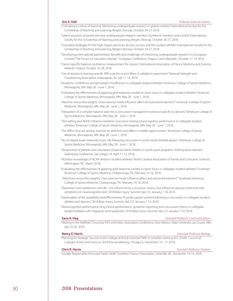- "Cultivating a culture of learning: Mentoring undergraduate research in global contexts." International Society for the Scholarship of Teaching and Learning, Bergen, Norway. October 24-27, 2018.
- "Salient practices of award-winning undergraduate research mentors: Excellence, freedom and control." International Society for the Scholarship of Teaching and Learning, Bergen, Norway. October 24-27, 2018.
- "Innovative strategies for the high impact practices: Access, success and the student-athlete." International Society for the Scholarship of Teaching and Learning, Bergen, Norway. October 24-27, 2018.
- "Developing international partnerships: Benefits and challenges of mentoring undergraduate research in a European Context." The Forum on Education Abroad - European Conference, Prague, Czech Republic. October 17-19, 2018.
- "Dance-specific balance confidence measurement for injuries." International Association of Dance Medicine and Science, Helsinki, Finland. October 25-28, 2018.
- "Use of resistance training-specific RPE scale for novice lifters: A validation experiment." National Strength and Conditioning Association, Indianapolis, IN. July 11-14, 2018.
- "Academic confidence and grit predict mindfulness in collegiate student-athletes." American College of Sports Medicine, Minneapolis, MN. May 28 - June 1, 2018.
- "Evaluating the effectiveness of applying grief-response models to sport injury in collegiate student-athletes." American College of Sports Medicine, Minneapolis, MN. May 28 - June 1, 2018.
- "Machine versus free weights: Does exercise mode influence affect and perceived exertion?" American College of Sports Medicine, Minneapolis, MN. May 28 - June 1, 2018.
- "Integration of a complex balance task into a concussion management protocol specific to dancers." American College of Sports Medicine, Minneapolis, MN. May 28 - June 1, 2018.
- "Test setting and ADHD influence baseline concussion testing neurocognitive performance in collegiate studentathletes." American College of Sports Medicine, Minneapolis, MN. May 28 - June 1, 2018.
- "The effect of acute aerobic exercise on attention and affect in middle-aged women." American College of Sports Medicine, Minneapolis, MN. May 28 - June 1, 2018.
- "No increased lower extremity injury risk following concussion in youth tackle football players." American College of Sports Medicine, Minneapolis, MN. May 28 - June 1, 2018.
- "Perspectives of parents and volunteers of special needs children in youth sport programs: Striking down barriers." Gatlinburg Conference, San Diego, CA. April 11-13, 2018.
- "Nutrition knowledge of NCAA division I student-athletes." North Carolina Association of Family and Consumer Sciences, Wilmington, NC. March 2018.
- "Evaluating the effectiveness of applying grief-response models to sport injury in collegiate student-athletes." Southeast American College of Sports Medicine, Chattanooga, TN. February 14-16, 2018.
- "Machines versus free weights: Does exercise mode influence affect and perceived exertion?" Southeast American College of Sports Medicine, Chattanooga, TN. February 14-16, 2018.
- "Depression and satisfaction with life not influenced by concussion history, but influences reaction time and total symptoms on neurocognitive test." 2018 Brain Injury Summit, Vail, CO. January 7-10, 2018.
- "Examination of the availability and effectiveness of social support systems following a concussion in collegiate studentathletes and dancers." 2018 Brain Injury Summit, Vail, CO. January 7-10, 2018.
- "Neurocognitive performance, King-Devick performance, symptom reporting, and concussion history in collegiate student-athletes with migraines and headaches." 2018 Brain Injury Summit, Vail, CO. January 7-10, 2018.

### **Sana A. Haq** *Assistant Professor, Communications*

"Waiting in the Midfield." University Film and Video Association Conference, New Mexico State University, Las Cruces, NM, July 23-26, 2018.

### **Nancy E. Harris** *Associate Professor, Biology*

"Planning for Strategic Success in the College of Arts & Sciences." With A. Lewellyn Jones and G. Smith. Council of Colleges of Arts and Sciences 2018 Annual Meeting, Chicago, IL, November 14 - 17, 2018.

**Chris R. Harris** *Assistant Professor, Finance*

"Socially Responsible Firms and Trade Credit." Southern Finance Association, Asheville, NC, November 14-16, 2018.

### **Eric E. Hall** *Professor, Exercise Science*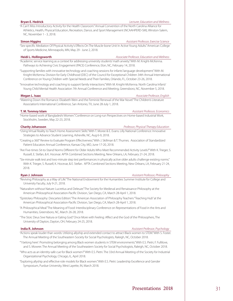### **Bryan E. Hedrick** *Lecturer, Education and Wellness*

"A Can't Miss Introductory Activity for the Health Classroom." Annual Convention of the North Carolina Alliance for Athletics, Health, Physical Education, Recreation, Dance, and Sport Management (NCAAHPERD-SM), Winston-Salem, NC, November 1 - 3, 2018.

**Simon Higgins** *Assistant Professor, Exercise Science* "Sex-specific Mediation Of Physical Activity's Effects On The Muscle-bone Unit In Active Young Adults." American College of Sports Medicine, Minneapolis, MN, May 29 - June 2, 2018.

**Heidi L. Hollingsworth** *Associate Professor, Education and Wellness*

"Academic service learning as a context for addressing university students' math anxiety." With M. Knight-McKenna. Pathways to Achieving Civic Engagement (PACE) Conference, Elon, NC, February 14, 2018.

"Supporting families with innovative technology and coaching sessions for infants' language development." With M. Knight-McKenna. Division for Early Childhood (DEC) of the Council for Exceptional Children 34th Annual International Conference on Young Children with Special Needs and Their Families, Orlando, FL, October 23-26, 2018.

"Innovative technology and coaching to support family interactions." With M. Knight-McKenna. North Carolina Infant/ Young Child Mental Health Association 7th Annual Conference and Meeting, Greensboro, NC, November 5, 2018.

### **Megan L. Isaac Associate Professor, English Associate Professor, English**

"Watering Down the Romance: Elizabeth Wein and the Feminist Renewal of the War Novel." The Children's Literature Association's International Conference, San Antonio, TX, June 28-July 1, 2018.

**T. M. Tonmoy Islam** *Assistant Professor, Economics*

"Home-based work of Bangladeshi Women." Conference on Long-run Perspectives on Home-based Industrial Work, Stockholm, Sweden, May 22-23, 2018.

### **Charity Johansson** *Professor, Physical Therapy Education*

"Using Virtual Reality to Teach Home Assessment Skills." With T. Moree & E. Evans. Lilly National Conference: Innovative Strategies to Advance Student Learning, Asheville, NC, Aug 6-9, 2018.

"Creating a 360° Review to Evaluate Program Effectiveness." With J. Skillman & T. Thurnes. Association of Standardized Patient Educators Annual Conference, Kansas City, MO, June 17-20, 2018.

"Are Five-times Sit-to-Stand Norms Different for Older Adults Who Meet Recommended Activity Levels?" With K. Trieger, S. Russell, E. Stefan, & K. Hocevar. APTA Combined Sections Meeting, New Orleans, LA, February 21-24, 2018.

"Six-minute walk test and two-minute step test performances in physically active older adults challenge existing norms." With K. Trieger, S. Russell, K. Hocevar, & E. Stefan. APTA Combined Sections Meeting, New Orleans, LA, February 21-24, 2018.

**Ryan J. Johnson** *Assistant Professor, Philosophy*

"Reviving Philosophy as a Way of Life." The National Endowment for the Humanities Summer Institute for College and University Faculty, July 9-21, 2018.

"Naturalism without Nature: Lucretius and Deleuze." The Society for Medieval and Renaissance Philosophy at the American Philosophical Association-Pacific Division, San Diego, CA, March 28-April 1, 2018.

"Epistolary Philosophy: Descartes Edition." The American Association of Philosophy Teachers "Teaching Hub" at the American Philosophical Association-Pacific Division, San Diego, CA, March 28-April 1, 2018.

"A Philosophical Meal." The Meaning of Food: Interdisciplinary Conference on Representations of Food in the Arts and Humanities, Greensboro, NC, March 26-28, 2018.

"The Stoic Deus Sive Natura or Eating God." Once More with Feeling: Affect and the God of the Philosophers, The University of Dayton, Dayton, OH, February 24-25, 2018.

### **India R. Johnson** *Assistant Professor, Psychology*

"Actions speak louder than words: Utilizing allyship and extended contact to attract Black women to STEM." With S. Foster. The Annual Meeting of the Southeastern Society for Social Psychologists, Raleigh, NC, October 2018.

"'I belong here': Promoting belonging among Black women students in STEM environments." With E.S. Pietri, F. Fullilove, and S. Mowrer. The Annual Meeting of the Southeastern Society for Social Psychologists, Raleigh, NC, October 2018.

"Who acts as an identity-safe cue for Black women?" With E.S. Pietri. The 33rd Annual Meeting of the Society for Industrial Organizational Psychology, Chicago, IL, April 2018.

"Exploring allyship and effective role models for Black women." With E.S. Pietri. Leadership Excellence and Gender Symposium, Purdue University, West Layette, IN, March 2018.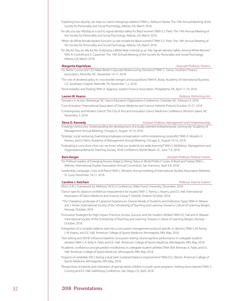"Exploring how allyship can help (vs. harm) intergroup relations." With L. Ashburn-Nardo. The 19th Annual Meeting of the Society for Personality and Social Psychology, Atlanta, GA, March 2018.

- "An ally you say: Allyship as a tool to signal identity-safety for Black women." With E.S. Pietri. The 19th Annual Meeting of the Society for Personality and Social Psychology, Atlanta, GA, March 2018.
- "When do White female leaders function as role models for Black women?" With E.S. Pietri. The 19th Annual Meeting of the Society for Personality and Social Psychology, Atlanta, GA, March 2018.
- "An Ally for You, an Ally for Me: Endorsing a White Male Scientist as an Ally Signals Identity-Safety Among White Women." With R. Cockrell and S. Carpenter. The 19th Annual Meeting of the Society for Personality and Social Psychology, Atlanta, GA, March 2018.

**Margarita Kaprielyan** *Associate Professor, Finance*

- "Do Better Connected CEO Make Better Corporate Restructuring Decisions?" With C. Danso. Southern Finance Association, Asheville, NC, November 14-17, 2018.
- "The role of dividend policy in cross-border mergers and acquisitions." With K. Brady. Academy of International Business, U.S. Southeast Chapter, Nashville, TN, November 1-2, 2018.

"Stock Volatility and Trading." With A. Agapova. Eastern Finance Association, Philadelphia, PA, April 11-14, 2018.

### **Lauren W. Kearns** *Professor, Performing Arts*

"Somatics in Action: Workshop." NC Dance Education Organization Conference, Charlotte, NC, February 9, 2018.

"Core Activation." International Association of Dance Medicine and Science, Helsinki, Finland, October 25-27, 2018.

"Contemporary and Modern Dance." The City of Arts and Innovation Dance Medicine Conference, Winston-Salem, NC November 3, 2018.

### **Elena D. Kennedy** *Assistant Professor, Management and Entrepreneurship*

"Creating community: Understanding the development of a locally oriented entrepreneurial community." Academy of Management Annual Meeting, Chicago, IL, August 10-14, 2018.

"Strategic social venturing: Examining employee compensation within enterprising nonprofits." With A. Moulick, K. Alexiou, and D. Parris. Academy of Management Annual Meeting, Chicago, IL, August 10-14, 2018.

"Evaluating a curriculum: How can we know what our students are really learning?" With S. McMahon. Management and Organizational Behavior Teaching Society 2018 Conference, Myrtle Beach, SC, June 7-9, 2018.

**Baris Kesgin** *Assistant Professor, Political Science*

- "Do Political Leaders of Emerging Powers Adapt to Rising Status in World Politics? Cases of Brazil and Turkey." With L. Wehner. International Studies Association Annual Convention, San Francisco, April 4-8, 2018.
- "Leadership, Language, Crisis, and Peace." With L. Windsor. Annual meeting of International Studies Association-Midwest, St. Louis, November 16-17, 2018.

### **Caroline J. Ketcham** *Professor, Exercise Science*

"Elon's A-B-C Framework for Wellness." NCICU Conference, Wake Forest University, December, 2018.

- "Dance-specific balance confidence measurement for injuries." With C. Kenny, L. Kearns, and E.E. Hall. International Association of Dance Medicine and Science, Group F. Helsinki, Finland, October, 2018.
- "The Changing Landscape of Capstone Experiences: Diverse Needs of Students and Institution Types." With A. Weaver and J. Kinzie. International Society of the Scholarship of Teaching and Learning: Toward a Culture of Learning, Bergen, Norway, October, 2018.
- "Innovative Strategies for High Impact Practices: Access, Success, and the Student-Athlete." With E.E. Hall and A. Weaver. International Society of the Scholarship of Teaching and Learning: Toward a Culture of Learning, Bergen, Norway October, 2018.
- "Integration of a complex balance task into a concussion management protocol specific to dancers." With C.M. Kenny, L.W. Kearns, and E.E. Hall. American College of Sports Medicine, Minneapolis, MN, May, 2018.
- "Test setting and ADHD influence baseline concussion testing neurocognitive performance in collegiate studentathletes." With C.A. Kelly, K. Patel, and E.E. Hall. American College of Sports Medicine, Minneapolis, MN, May, 2018.
- "Academic confidence and grit predict mindfulness in collegiate student-athletes." With B.M. Brennan, K. Patel, and E.E. Hall. American College of Sports Medicine, Minneapolis, MN, May, 2018.
- "Impacts of cerebellar tDCS during a dual-task: Sustained balance improvement." With K.G. Oberle. American College of Sports Medicine, Minneapolis, MN, May, 2018.
- "Perspectives of parents and volunteers of special needs children in youth sport programs: Striking down barriers." With S. Corning and E.E. Hall. Gatlinburg Conference, San Diego, CA, April, 2018.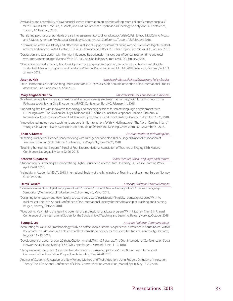"Availability and accessibility of psychosocial service information on websites of top-rated children's cancer hospitals." With C. Fair, B. Krol, S. McCain, A. Moats, and F. Music. American Psychosocial Oncology Society Annual Conference, Tucson, AZ, February, 2018.

"Translating psychosocial standards of care into assessment: A tool for advocacy." With C. Fair, B. Krol, S. McCain, A. Moats, and F. Music. American Psychosocial Oncology Society Annual Conference, Tucson, AZ, February, 2018.

 "Examination of the availability and effectiveness of social support systems following a concussion in collegiate studentathletes and dancers." With I. Heaton, E.E. Hall, O. Ahmed, and T. Rees. 2018 Brain Injury Summit, Vail, CO, January, 2018.

"Depression and satisfaction with life - not influenced by concussion history, but influences reaction time and total symptoms on neurocognitive test." With E.E. Hall. 2018 Brain Injury Summit, Vail, CO, January, 2018.

"Neurocognitive performance, King-Devick performance, symptom reporting, and concussion history in collegiate student-athletes with migraines and headaches." With A. Perciaccante and E.E. Hall. 2018 Brain Injury Summit, Vail, CO, January, 2018.

### **Jason A. Kirk** *Associate Professor, Political Science and Policy Studies*

"State Homophobia?: India's Shifting UN Positions on LGBTQ Issues." 59th Annual Convention of the International Studies Association, San Francisco, CA, April 2018.

**Mary Knight-McKenna** *Associate Professor, Education and Wellness*

"Academic service learning as a context for addressing university students' math anxiety." With H. Hollingsworth. The Pathways to Achieving Civic Engagement (PACE) Conference, Elon, NC, February 14, 2018.

"Supporting families with innovative technology and coaching sessions for infants' language development." With H. Hollingsworth. The Division for Early Childhood (DEC) of the Council for Exceptional Children 34th Annual International Conference on Young Children with Special Needs and Their Families, Orlando, FL, October 23-26, 2018.

"Innovative technology and coaching to support family interactions." With H. Hollingsworth. The North Carolina Infant/ Young Child Mental Health Association 7th Annual Conference and Meeting, Greensboro, NC, November 5, 2018.

**Brian A. Kremer** *Assistant Professor, Performing Arts*

"Teaching Outside the Gender Binary: Working with Transgender and Non-Binary Singers." National Association of Teachers of Singing 55th National Conference, Las Vegas, NV, June 22-26, 2018.

"Teaching Transgender Singers: A Panel of Four Experts." National Association of Teachers of Singing 55th National Conference, Las Vegas, NV, June 22-26, 2018.

**Ketevan Kupatadze** *Senior Lecturer, World Languages and Cultures*

"Student-faculty Partnerships: Democratizing Higher Education." Tarleton State University, TX, Service Learning Week, April 25-28, 2018.

"Inclusivity in Academia." ISSoTL 2018: International Society of the Scholarship of Teaching and Learning, Bergen, Norway, October 2018.

**Derek Lackaff** *Associate Professor, Communications*

"Grassroots interactive: Digital engagement with Cherokee." The 2nd Annual Undergraduate Cherokee Language Symposium, Western Carolina University, Cullowhee, NC, March 2018.

"Designing for engagement: How faculty structure and assess "participation" in global education courses." With M. Buckmaster. The 15th Annual Conference of the International Society for the Scholarship of Teaching and Learning, Bergen, Norway, October 2018.

"Pivot points: Maximizing the learning potential of a professional graduate program." With P. Motley. The 15th Annual Conference of the International Society for the Scholarship of Teaching and Learning, Bergen, Norway, October 2018.

**Byung S. Lee Associate Professor, Communications Associate Professor, Communications** 

"Accounting for value: A Q methodology study on coffee shop customers' experiential preference in South Korea." With B. Bourchard. The 34th Annual Conference of the International Society for the Scientific Study of Subjectivity, Charlotte, NC, Oct. 11 - 13, 2018.

"Development of a Journal over 20 Years: Citation Analysis." With C. Perschau. The 20th International Conference on Social Network Analysis and Mining (ICSNAM), Copenhagen, Denmark, June 11-12, 1018.

"Using an online interactive Q software to collect data on human subjectivities." The 68th Annual International Communication Association, Prague, Czech Republic, May 24-28, 2018.

"Analysis of Students' Perception of a New Writing Method and Their Adoption: Using Rodgers' Diffusion of Innovation Theory." The 13th Annual Conference of Global Communication Association, Madrid, Spain, May 17-20, 2018.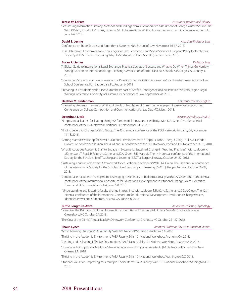### **Teresa W. LePors** *Assistant Librarian, Belk Library*

"Reassessing Information Literacy: Methods and Findings from a Collaborative Assessment of College Writers' Source Use." With P. Patch, P. Rudd, J. Zinchuk, D. Burns, & L. Li. International Writing Across the Curriculum Conference, Auburn, AL, June 4-6, 2018.

Conference on Trade Secrets and Algorithmic Systems, NYU School of Law, November 16-17, 2018.

IP in Data-driven Economies: New Challenges for Law, Economics, and Social Sciences, European Policy for Intellectual Property at ESMT Berlin: discussing Why Do Startups Use Trade Secrets?, September 6, 2018.

### **Susan P. Liemer** *Professor, Law*

- "A Global Guide to International Legal Exchange: Practical Secrets of Success and What to Do When Things Go Horribly Wrong." Section on International Legal Exchange, Association of American Law Schools, San Diego, CA, January 3, 2018.
- "Connecting Students and Law Professors to a Plurality of Legal Citation Approaches." Southeastern Association of Law School Conference, Fort Lauderdale, FL, August 6, 2018.
- "Preparing Our Students and Ourselves for the Impact of Artificial Intelligence on Law Practice." Western Region Legal Writing Conference, University of California Irvine School of Law, September 28, 2018.

### **Heather M. Lindenman** *Assistant Professor, English*

"Examining Students Theories of Writing: A Study of Two Types of Community-Engaged First-Year Writing Courses."

Conference on College Composition and Communication, Kansas City, MO, March 2018.

### **Deandra J. Little** *Associate Professor, English*

- "Nonpositional leaders facilitating change: A framework for trust and credibility." With D.A. Green. The 43rd annual conference of the POD Network, Portland, OR, November 14-18, 2018.
- "Finding Levers for Change." With L. Grupp. The 43rd annual conference of the POD Network, Portland, OR, November 14-18, 2018.
- "Getting Started: Workshop for New Educational Developers." With S. Tapp, D. Lohe, J. Berg, J. Craig, D. Ellis, & T. Pinder-Grover. Pre-conference session, The 43rd annual conference of the POD Network, Portland, OR, November 14-18, 2018.
- "What Encourages Academic Staff to Engage in Systematic, Sustained Change in Teaching Practices?" With J. Moore, K. Mårtensson, T. Roxå, P. Felten, K. Sutherland, D.A. Green, & E. Marquis. The 14th annual conference of the International Society for the Scholarship of Teaching and Learning (ISSOTL), Bergen, Norway, October 24-27, 2018.
- "Sustaining a culture of learners: A framework for educational developers." With D.A. Green. The 14th annual conference of the International Society for the Scholarship of Teaching and Learning (ISSOTL), Bergen, Norway, October 24-27, 2018.
- "Contextual educational development: Leveraging positionality to build trust locally." With D.A. Green. The 12th biennial conference of the International Consortium for Educational Development: Institutional Change: Voices, Identities, Power and Outcomes, Atlanta, GA, June 6-8, 2018.
- "Understanding and fostering faculty change in teaching." With J. Moore, T. Roxå, K. Sutherland, & D.A. Green. The 12th biennial conference of the International Consortium for Educational Development: Institutional Change: Voices, Identities, Power and Outcomes, Atlanta, GA, June 6-8, 2018.

### **Buffie Longmire-Avital** *Associate Professor, Psychology*

"Even Over the Rainbow: Exploring Intersectional Identities of Emerging Adult Black Gay Men." Guilford College, Greensboro, NC October 24, 2018.

"The Cost of the Climb." Annual Black PhD Network Conference, Charlotte, NC October 25 - 27, 2018.

**Shaun Lynch** *Assistant Professor, Physician Assistant Studies*

"Active Learning Strategies." PAEA Faculty Skills 101 National Workshop. Anaheim, CA. 2018.

"Thriving in the Academic Environment." PAEA Faculty Skills 101 National Workshop. Anaheim, CA. 2018. "Creating and Delivering Effective Presentations." PAEA Faculty Skills 101 National Workshop. Anaheim, CA. 2018.

"Essentials of Occupational Medicine." American Academy of Physician Assistants (AAPA) National Conference. New Orleans, LA. 2018.

"Thriving in the Academic Environment." PAEA Faculty Skills 101 National Workshop. Washington D.C. 2018.

"Student Evaluation: Improving Your Multiple Choice Items." PAEA Faculty Skills 101 National Workshop. Washington D.C. 2018.

### **David S. Levine** *Associate Professor, Law*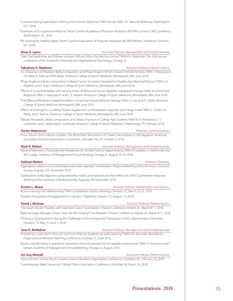"Communicating Expectations: Writing Instructional Objectives." PAEA Faculty Skills 101 National Workshop. Washington D.C. 2018.

"Essentials of Occupational Medicine." North Carolina Academy of Physician Assistants (NCAPA) Summer CME Conference. Myrtle Beach, SC. 2018.

"PA-rtnering for Healthy Habits." North Carolina Association of Physician Assistants (NCAPA) Winter Conference. Durham, NC. 2018.

**Brian D. Lyons** *Associate Professor, Management and Entrepreneurship*  "Dark Triad leadership and follower motives: Will you follow the devil you know?" With R.H. Moorman. The 33rd annual conference of the Society for Industrial and Organizational Psychology, Chicago, IL.

### **Takudzwa A. Madzima** *Assistant Professor, Exercise Science*

"A Comparison of Preseason Body Composition and Phase Angle in NCAA Division I Female Athletes." With S. Nepocatych, D.A. Baur, K. Patel, and W.R. Bixby. American College of Sports Medicine, Minneapolis, MN, June 2018.

"Phase Angle and Body Composition in Breast Cancer Survivors Compared to Healthy Age-Matched Women." With C.D. Deaterly and E. Evans. American College of Sports Medicine, Minneapolis, MN, June 2018.

"Effects of a Liquid Breakfast with Varying Doses of Whey and Soy on Appetite, Subsequent Energy Intake and Hormone Response." With S. Nepocatych and C. E. Melson. American College of Sports Medicine, Minneapolis, MN, June 2018.

"The Effects of Blueberry Supplementation on Exercise-Induced Muscle Damage." With L.J. Lee and P.C. Miller. American College of Sports Medicine, Minneapolis, MN, June 2018.

"Effects of a Ketogenic or a Whey Protein Supplement on Metabolism, Appetite and Energy Intake." With I.L. Smith, E.K. Bailey, and T. Ramos. American College of Sports Medicine, Minneapolis, MN, June 2018.

"Weight Perception, Body Composition, and Dietary Practices in College Age Students." With M. H. Richardson, T. J. Sorrentino, and S. Nepocatych. Southeast American College of Sports Medicine, Chattanooga, TN, February 2018.

### **Harlen Makemson** *Professor, Communications*

"From Gibson Girl to Gibson Goddess: The World War I Illustrations of Charles Dana Gibson in Life Magazine." American Journalism Historians Association Convention, Salt Lake City, UT, October 6, 2018.

**Mark R. Mallon** *Assistant Professor, Management and Entrepreneurship* "Beyond Tokenism: A Social Identity Perspective On Female Director Appointments." With O. Guldiken, S. Fainshmidt, and W.Q. Judge. Academy of Management Annual Meeting, Chicago, IL, August 10-14, 2018.

### **Kathryn Matera** *Professor, Chemistry*

"Aggregation patterns of amyloid-beta and insulin peptides." Southeastern Regional Meeting of the American Chemical Society, Augusta, GA, November 2018.

"Stabilization of Aβ oligomers using serotonin, indole, and catechol and their effects on DNA." Southeastern Regional Meeting of the American Chemical Society, Augusta, GA, November 2018.

**Kristen L. Mazur** *Assistant Professor, Mathematics and Statistics*

"Active Learning with Mathematica." MAA Southeastern Section Meeting, Clemson, SC, March 22-23, 2018. "Student Perceptions of Engagement in Calculus 1." MathFest, Denver, CO, August 1-4, 2018.

**David J. McGraw** *Assistant Professor, Performing Arts*

"The Epoch Model: Theatres with Expiration Dates." Southeastern Theatre Conference, Mobile, AL, March 8-11, 2018.

"National Stage Manager Survey: How Are We Evolving?" Southeastern Theatre Conference, Mobile, AL, March 8-11, 2018.

"Thriving in Displacement: Facing the Challenges of the Unexpected." Association of Arts Administration Educators, Houston, TX, May 31-June 3, 2018.

### **Sean R. McMahon** *Assistant Professor, Management and Entrepreneurship*

"Evaluating a curriculum: How can we know what our students are really learning?" With E.D. Kennedy. Mid-Atlantic Organizational Behavior Teaching Conference, Conway, SC, June 2018,.

"Equity crowdfunding: A qualitative assessment from the perspective of capable entrepreneurs." With R. Stevenson and C. Letwin. Academy of Management Annual Meeting, Chicago, IL, August 2018.

**Jen Guy Metcalf** *Associate Professor, Performing Arts*

"Dance for the Camera." North Carolina Dance Education Organization Conference, Charlotte, NC, February 10, 2018.

"Contemporary Ballet." American College Dance Association Conference, Montclair, NJ, March 16, 2018.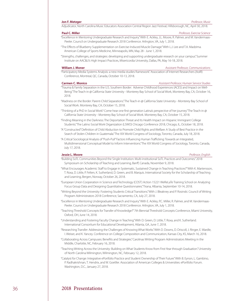### **Jon F. Metzger** *Professor, Music*

Adjudicator, North Carolina Music Educators Association Central Region Jazz Festival, Hillsborough, NC, April 30, 2018.

### "Excellence in Mentoring Undergraduate Research and Inquiry." With E. Ackley, J.L. Moore, R. Palmer, and M. Vandermaas-Peeler. Council on Undergraduate Research 2018 Conference. Arlington, VA, July 1, 2018.

"The Effects of Blueberry Supplementation on Exercise-Induced Muscle Damage." With L.J. Lee and T.A. Madzima. American College of Sports Medicine, Minneapolis, MN, May 28 - June 1, 2018.

"Strengths, challenges, and strategies: developing and supporting undergraduate research on your campus." Summer Institute on AAC&U's High Impact Practices, Misericordia University, Dallas, PA, May 16-18, 2018.

### **William J. Moner** *Assistant Professor, Communications*

"Participatory Media Systems Analysis: a new media studies framework." Association of Internet Researchers (AoIR) Conference, Montreal, QC, Canada, October 10-13, 2018.

### **Carmen C. Monico** *Assistant Professor, Human Service Studies*

- "Trauma & Family Separation in the U.S. Southern Border: Adverse Childhood Experiences (ACES) and Impact on Well-Being." The Teach-in @ California State University - Monterey Bay School of Social Work, Monterey Bay, CA, October 16, 2018.
- "Madness on the Border: Parent-Child Separations." The Teach-in @ California State University Monterey Bay School of Social Work. Monterey Bay, CA, October 15, 2018.
- "Thinking of a PhD in Social Work? Come hear one first generation Latina's perspective of her journey." The Teach-in @ California State University - Monterey Bay School of Social Work. Monterey Bay, CA, October 15, 2018.
- "Finding Meaning in the Darkness: The Deportation Threat and Its Health Impact on Hispanic Immigrant College Students." The Latino Social Work Organization (LSWO) Chicago Conference 2018, Chicago, IL, October 18, 2018.
- "A "Constructed" Definition of Child Abduction to Promote Child Rights and Welfare: A Study of Best Practice in the Search of Stolen Children in Guatemala." The XIX World Congress of Sociology, Toronto, Canada, July 18, 2018.
- "A Critical Sociological Analysis of "Push-Pull" Factors Influencing Human Trafficking: Towards an Integrated, Multidimensional Conceptual Model to Inform Interventions." The XIX World Congress of Sociology, Toronto, Canada, July 17, 2018.

### **Jessie L. Moore** *Professor, English*

- "Building SoTL Communities Beyond the Single Institution: Multi-institutional SoTL Practices and Outcomes." 2018 Symposium on Scholarship of Teaching and Learning, Banff, Canada, November 9, 2018.
- "What Encourages Academic Staff to Engage in Systematic, Sustained Change in Teaching Practices?" With K. Martensson, T. Roxa, D. Little, P. Felten, K. Sutherland, D. Green, and B. Marquis. International Society for the Scholarship of Teaching and Learning, Bergen, Norway, October 26, 2018.
- "European Union Cooperation in Science and Technology (COST) Action 15221 WeReLaTe Training School on Analyzing Focus Group Data and Designing Quantitative Questionnaires." Tirana, Albania, September 10-14, 2018.
- "Writing Beyond the University: Fostering Students Critical Transitions." With J. Bleakney and P. Rosinski. Council of Writing Program Administrators 2018 Conference, Sacramento, CA, July 27, 2018.
- "Excellence in Mentoring Undergraduate Research and Inquiry." With E. Ackley, P.C. Miller, R. Palmer, and M. Vandermaas-Peeler. Council on Undergraduate Research 2018 Conference. Arlington, VA, July 1, 2018.
- "Teaching Threshold Concepts for Transfer of Knowledge?" 7th Biennial Threshold Concepts Conference, Miami University, Oxford, OH, June 14, 2018.
- "Understanding and Fostering Faculty Change in Teaching." With D. Green, D. Little, T. Roxa, and K. Sutherland. International Consortium for Educational Development, Atlanta, GA, June 7, 2018.
- "Researching Transfer: Addressing the Challenges of Knowing What Works." With D. Downs, D. Driscoll, J. Ringer, E. Wardle, I. Weiser, and K. Yancey. Conference on College Composition and Communication, Kansas City, KS, March 16, 2018.
- "Collaborating Across Campuses: Benefits and Strategies." Carolinas Writing Program Administrators Meeting in the Middle, Charlotte, NC, February 16, 2018.
- "Teaching Writing Across the University: Building on What Students Know from First-Year through Graduation." University of North Carolina Wilmington, Wilmington, NC, February 12, 2018.
- "Catalyst for Change: Integrative ePortfolio Practice and Student Ownership of Their Future." With B. Eynon, L. Gambino, P. Radhakrishnan, T. Hendrix, and W. Goetller. Association of American Colleges & Universities: ePortfolio Forum. Washington, D.C., January 27, 2018.

### **Paul C. Miller** *Professor, Exercise Science*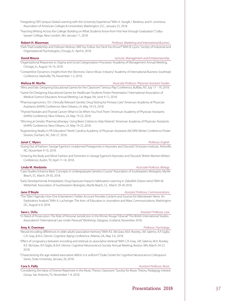"Integrating Off-Campus Global Learning with the University Experience." With A. Sturgill, I. Berdrow, and K. Levintova. Association of American Colleges & Universities, Washington, D.C., January 25, 2018.

"Teaching Writing Across the College: Building on What Students Know from First-Year through Graduation." Colby-Sawyer College, New London, NH, January 11, 2018.

**Robert H. Moorman** *Professor, Marketing and International Business* "Dark Triad Leadership and Follower Motives: Will You Follow the Devil You Know?" With B. Lyons. Society of Industrial and Organizational Psychologists, Chicago, IL. April 6, 2018.

### **David Moura** *Lecturer, Management and Entrepreneurship*

"Organizational Responses to Stigma and Social Categorization Processes." Academy of Management Annual Meeting, Chicago, IL, August 10-14, 2018.

"Competitive Dynamics: Insights from the Electronic Dance Music Industry." Academy of International Business Southeast Conference, Nashville, TN, November 1-3, 2018.

**Melissa M. Murfin** *Associate Professor, Physician Assistant Studies*

"Wins and Fails: Designing Educational Games for the Classroom." Serious Play Conference, Buffalo, NY, July 17 - 19, 2018.

"Game On! Designing Educational Games for Healthcare Students Poster Presentation." International Association of Medical Science Educators Annual Meeting, Las Vegas, NV, June 9-12, 2018.

"Pharmacogenomics 101: Clinically Relevant Genetic Drug Testing for Primary Care." American Academy of Physician Assistants (AAPA) Conference, New Orleans, LA, May 19-23, 2018.

"Thyroid Nodules and Thyroid Cancer: What to Do When You Find Them." American Academy of Physician Assistants (AAPA) Conference, New Orleans, LA, May 19-23, 2018.

"Winning at Geriatic Pharmacotherapy: Using Beers Criteria to Help Patients." American Academy of Physician Assistants (AAPA) Conference, New Orleans, LA, May 19-23, 2018.

"Augmenting Reality in PA Education." North Carolina Academy of Physician Assistants (NCAPA) Winter Conference Poster Session, Durham, NC, Feb 27, 2018.

### **Janet C. Myers** *Professor, English*

"Going Out of Fashion: George Egerton's Unadorned Protagonists in Keynotes and Discords." Victorians Institute, Asheville, NC, November 9-10, 2018.

"Unlacing the Body and Mind: Fashion and Feminism in George Egerton's Keynotes and Discords." British Women Writers Conference, Austin, TX, April 11-14, 2018.

### **Linda M. Niedziela** *Associate Professor, Biology*

"Case Studies Enhance Basic Concepts in Undergraduate Genetics Course." Association of Southeastern Biologists, Myrtle Beach, SC, March 29-30, 2018.

"Early Developmental Antiepileptic Drug Exposure Impacts Habituation Learning in Zebrafish (Danio rerio)." With M. Wetterhall. Association of Southeastern Biologists, Myrtle Beach, S.C. March 29-30 2018.

**Jane O'Boyle** *Assistant Professor, Communications* "The "Ellen" Agenda: How One Entertainer's Twitter Account Provides Content and Sources for Mainstream News: An

Exploratory Analysis." With A. Luchsinger. The Assn. of Educators in Journalism and Mass Communications, Washington DC, August 6-9, 2018.

### **Sara L. Ochs** *Assistant Professor, Law*

"In Need of Prosecution: The Role of Personal Jurisdiction in the Khmer Rouge Tribunal." The British International Studies Association's "International Law Under Pressure" Workshop, Glasgow, Scotland, November 2018.

### **Amy A. Overman** *Professor, Psychology*

"Neural encoding differences in older adults' associative memory." With K.E. McGraw, M.A. Rowley, J.M. Salerno, A.P. Giglio, C.R. Gray, & N.A. Dennis. Cognitive Aging Conference, Atlanta, GA, May 3-6, 2018.

"Effect of congruency between encoding and retrieval on associative retrieval." With C.R. Gray, J.M. Salerno, M.A. Rowley, K.E. McGraw, A.P. Giglio, & N.A. Dennis. Cognitive Neuroscience Society Annual Meeting, Boston, MA, March 24-27, 2018.

"Characterizing the age-related associative deficit: is it uniform?" Duke Center for Cognitive Neuroscience Colloquium Series, Duke University, January 26, 2018.

**Cora S. Palfy** *Assistant Professor, Music Assistant Professor, Music* 

"Considering the Value of Diverse Repertoire in the Music Theory Classroom." Society for Music Theory, Pedagogy Interest Group, San Antonio, TX, November 1-4, 2018.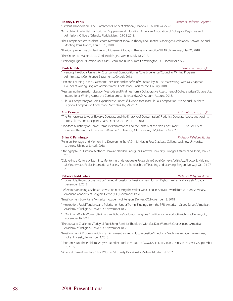"Credential Innovation Panel." Parchment Connect National, Orlando, FL, March 24-25, 2018.

- "An Evolving Credential: Transcripting Supplemental Education." American Association of Collegiate Registrars and Admissions Officers, Orlando, Florida, March 25-28, 2018.
- "The Comprehensive Student Record Movement Today in Theory and Practice." Groningen Declaration Network Annual Meeting, Paris, France, April 18-20, 2018.
- "The Comprehensive Student Record Movement Today in Theory and Practice." HEAR UK Webinar, May 21, 2018.
- "The Credential Marketplace." Credential Engine Webinar, July 18, 2018.
- "Exploring Higher Education Use Cases." Learn and Build Summit, Washington, DC, December 4-5, 2018.

**Paula N. Patch** *Senior Lecturer, English*

- "Inventing the Global University: Crosscultural Composition as Core Experience." Council of Writing Program Administrators Conference, Sacramento, CA, July 2018.
- "Fear and Learning in the Classroom: The Costs and Benefits of Vulnerability in First-Year Writing." With M. Chapman. Council of Writing Program Administrators Conference, Sacramento, CA, July 2018.
- "Reassessing Information Literacy: Methods and Findings from a Collaborative Assessment of College Writers' Source Use." International Writing Across the Curriculum conference (IWAC), Auburn, AL, June 2018.
- "Cultural Competency as Core Experience: A Successful Model for Crosscultural Composition." 5th Annual Southern Regional Composition Conference, Memphis, TN, March 2018.

**Erin Pearson** *Assistant Professor, English*

- "'The Remorseless Jaws of Slavery': Douglass and the Rhetoric of Consumption." Frederick Douglass Across and Against Times, Places, and Disciplines, Paris, France, October 11-13, 2018.
- "Blackface Minstrelsy at Home: Domestic Performance and the Fantasy of the Non-Consumer." C19: The Society of Nineteenth-Century Americanists Biennial Conference, Albuquerque, NM, March 22-25, 2018.

### **Brian K. Pennington** *Professor, Religious Studies*

- "Religion, Heritage, and Memory in a Developing State." Shri Jai Narain Post Graduate College, Lucknow University, Lucknow, UP, India, Jan. 25, 2018.
- "Ethnography in Historical Method." Hemvati Nandan Bahuguna Garhwal University, Srinagar, Uttarakhand, India, Jan. 23, 2018.
- "Cultivating a Culture of Learning: Mentoring Undergraduate Research in Global Contexts." With A.L. Allocco, E. Hall, and M. Vandermaas-Peeler. International Society for the Scholarship of Teaching and Learning, Bergen, Norway, Oct. 24-27, 2018.

### **Rebecca Todd Peters** *Professor, Religious Studies*

- "In Bona Fide: Reproductive Justice." Invited discussion of Trust Women, Human Rights Film Festival, Zagreb, Croatia, December 8, 2018.
- "Reflections on Being a Scholar-Activist." on receiving the Walter Wink Scholar-Activist Award from Auburn Seminary, American Academy of Religion, Denver, CO, November 19, 2018.
- "Trust Women: Book Panel." American Academy of Religion, Denver, CO, November 18, 2018.
- "Immigration, Racial Tensions, and Polarization Under Trump: Findings from the PRRI American Values Survey." American Academy of Religion, Denver, CO, November 18, 2018.
- "In Our Own Words: Women, Religion, and Choice." Colorado Religious Coalition for Reproductive Choice, Denver, CO, November 16, 2018.
- "The Joys and Challenges Today of Publishing Feminist Theology." with G.Y. Kao. Women's Caucus panel, American Academy of Religion, Denver, CO, November 18, 2018
- "Trust Women: A Progressive Christian Argument for Reproductive Justice." Theology, Medicine, and Culture seminar, Duke University, November 2, 2018.
- "Abortion is Not the Problem: Why We Need Reproductive Justice." GOODSPEED LECTURE, Denison University, September 13, 2018.
- "What's at Stake if Roe Falls?" Triad Women's Equality Day, Winston-Salem, NC, August 26, 2018.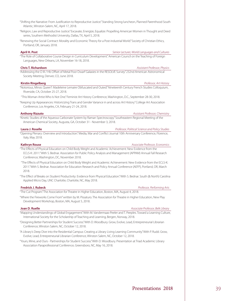"Shifting the Narrative: From Justification to Reproductive Justice." Standing Strong luncheon, Planned Parenthood South Atlantic, Winston-Salem, NC, April 17, 2018.

- "Religion, Law and Reproductive Justice." Excavate, Energize, Equalize: Propelling American Women in Thought and Deed series, Southern Methodist University, Dallas, TX, April 5, 2018.
- "Renewing the Social Contract: Morality and Economic Theory for a Post-industrial World." Society of Christian Ethics, Portland, OR, January 2018.

### **April H. Post** *Senior Lecturer, World Languages and Cultures*

"The Role of Collaborative Course Design in Curriculum Development." American Council on the Teaching of Foreign Languages, New Orleans, LA, November 16-18, 2018.

### **Chris T. Richardson** *Assistant Professor, Physics*

"Addressing the O III / Hb Offset of Metal Poor Dwarf Galaxies in the RESOLVE Survey." 232nd American Astronomical Society Meeting, Denver, CO, June 2018.

### **Kirstin Ringelberg** *Professor, Art History*

"Notorious, Minor, Queer?: Madeleine Lemaire Obfuscated and Outed." Nineteenth Century French Studies Colloquium, Riverside, CA, October 25-27, 2018.

- "This Woman Artist Who Is Not One." Feminist Art History Conference, Washington, D.C., September 28-30, 2018.
- "Keeping Up Appearances: Historicizing Trans and Gender Variance in and across Art History." College Art Association Conference, Los Angeles, CA, February 21-24, 2018.

"Kinetic Studies of the Aqueous Carbonate System by Raman Spectroscopy." Southeastern Regional Meeting of the American Chemical Society, Augusta, GA, October 31 - November 3, 2018.

**Laura J. Roselle** *Professor, Political Science and Policy Studies*

"Opening Plenary: Overview and Introduction." Media, War and Conflict Journal 10th Anniversary Conference, Florence, Italy, May 2018.

"The Effects of Physical Education on Child Body Weight and Academic Achievement: New Evidence from the ECLS-K: 2011." With S. Bednar. Association for Public Policy Analysis and Management (APPAM) Annual Fall Research Conference, Washington, DC, November 2018.

 "The Effects of Physical Education on Child Body Weight and Academic Achievement: New Evidence from the ECLS-K: 2011." With S. Bednar. Association for Education Research and Policy Annual Conference (AEFP), Portland, OR, March 2018.

"The Effect of Breaks on Student Productivity: Evidence from Physical Education." With S. Bednar. South (& North) Carolina Applied Micro Day, UNC Charlotte, Charlotte, NC, May 2018.

### **Fredrick J. Rubeck** *Professor, Performing Arts*

"The Cut Program." The Association for Theatre in Higher Education, Boston, MA, August 4, 2018.

"Where the Fireworks Come From" written by M. Pissaturo. The Association for Theatre in Higher Education, New Play Development Workshop, Boston, MA, August 5, 2018.

### **Joan D. Ruelle** *Associate Professor, Belk Library*

"Mapping Understandings of Global Engagement." With M. Vandermaas-Peeler and T. Peeples. Toward a Learning Culture, International Society for the Scholarship of Teaching and Learning, Bergen, Norway, 2018.

- "Designing Better Partnerships for Student Success." With D. Woodbury. Grow, Evolve, Lead, Entrepreneurial Librarian Conference, Winston Salem, NC, October 12, 2018.
- "A Library's Deep Dive into the Residential Campus: Creating a Library Living Learning Community." With P. Rudd. Grow, Evolve, Lead, Entrepreneurial Librarian Conference, Winston Salem, NC, October 12, 2018.
- "Yours, Mine, and Ours Partnerships for Student Success." With D. Woodbury. Presentation at Triad Academic Library Association Paraprofessional Conference, Greensboro, NC, May 16, 2018.

**Kathryn Rouse** *Associate Professor, Economics*

## **Anthony Rizzuto** *Assistant Professor, Chemistry*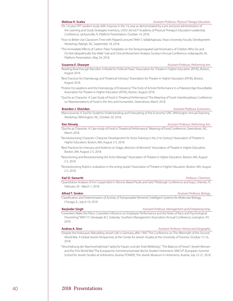- "Do 1st year DPT student study skills improve in the 1st year as demonstrated by a pre and post administration of the Learning and Study Strategies Inventory, LASSI 3rd ed.?" Academy of Physical Therapy's Education Leadership Conference, Jacksonville, Fl, Platform Presentation, October 14, 2018.
- "How to Better Use Classroom Time with Flipped Lectures." With S. Vallabhajosula. Shaw University Faculty Development Workshop, Raleigh, NC, September 18, 2018.
- "The Immediate Effects of Carbon Fiber Footplates on the Temporospatial Gait Kinematics of Children Who Do and Do Not Idiopathically Toe-Walk." Gait and Clinical Movement Analysis Society's Annual Conference, Indianapolis, IN, Platform Presentation, May 24, 2018.

### **Susanne E. Shawyer** *Assistant Professor, Performing Arts*

"Reading Boal through Rancière: A Model for Political Praxis." Association for Theatre in Higher Education (ATHE), Boston, August 2018.

"Best Practices for Dramaturgy and Theatrical Intimacy." Association for Theatre in Higher Education (ATHE), Boston, August 2018.

"Protest Occupations and the Dramaturgy of Endurance." The Ends of Activist Performance in a Polarized Age Roundtable. Association for Theatre in Higher Education (ATHE), Boston, August 2018.

"Quiche as Character: A Case Study of Food in Theatrical Performance." The Meaning of Food: Interdisciplinary Conference on Representations of Food in the Arts and Humanities. Greensboro, March 2018.

**Brandon J. Sheridan** *Assistant Professor, Economics*

"MacroJournal: A Tool for Students' Understanding and Forecasting of the Economy." UNC-Wilmington Annual Teaching Workshop, Wilmington, NC, October 20, 2018.

### **Kim Shively** *Assistant Professor, Performing Arts*

"Quiche as Character: A Case-study of Food in Theatrical Performance." Meaning of Food Conference, Greensboro, NC, March 2018.

"Revolutionizing Character: Character Development for Actor Training in the 21st Century." Association of Theatre in Higher Education, Boston, MA, August 2-5, 2018.

"Best Practices for Intimacy and Violence on Stage, direction of Moment." Association of Theatre in Higher Education, Boston, MA, August 2-5, 2018.

"Resurrecting and Revolutionizing the Actor-Manage." Association of Theatre in Higher Education, Boston, MA, August 2-5, 2018.

"Revolutionizing Rubrics: evaluation in the acting studio." Association of Theatre in Higher Education, Boston, MA, August 2-5, 2018.

### **Karl D. Sienerth** *Professor, Chemistry*

"Quantitative Analysis of Iron Suspended in Silicone-Based Fluids and Gels." Pittsburgh Conference and Expo, Orlando, FL February 26 - March 1, 2018.

"Classification and Determination of Activity of Transposable Elements." Intelligent Systems for Molecular Biology, Chicago, IL, July 6-10, 2018

### **Barjinder Singh** *Assistant Professor, Management and Entrepreneurship*

"Coworkers Make the Place: Coworkers Influence on Employee Performance and the Roles of Race and Psychological Flourishing." With T.T. Selvarajan & S. Solansky. Southern Management Association Annual Conference, Lexington, KY, 2018.

"Despite the Holocaust: Rebuilding Jewish Life in Germany after 1945." The Conference on The Aftermath of the Second World War: A Global Jewish Perspective, at the Center for Jewish Studies at the University of Toronto, October 15-16, 2018.

"Verschiebung der Machtverhaltnisse? Jadische Frauen und der Erste Weltkrieg."; "The Balance of Power? Jewish Women and the First World War." The Europasche Sommeruniversitat dische Studien Hohenems: MACHT (European Summer School for Jewish Studies at Hohenems, Austria: POWER), The Jewish Museum in Hohenems, Austria, July 22-27, 2018.

### **Melissa H. Scales** *Assistant Professor, Physical Therapy Education*

### **Alfred T. Simkin** *Assistant Professor, Biology*

**Andrea A. Sinn** *Assistant Professor, History and Geography*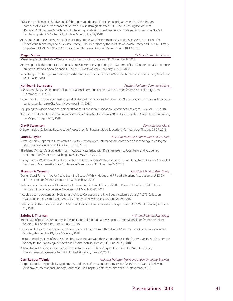"Rückkehr als Heimkehr? Motive und Erfahrungen von deutsch-jüdischen Remigranten nach 1945."; "Return home? Motives and Experiences of German-Jewish Remigrants after 1945." The Forschungscolloquium (Research Colloquium): Münchner jüdische Antiquariate und Kunsthandlungen während und nach der NS-Zeit, Landeshauptstadt München, City Archive Munich, July 19, 2018.

"An Arduous Journey: Tracing St. Ottilien's History after WWII." The International Conference SANKT OTTILIEN - The Benedictine Monastery and Its Jewish History, 1945-48, project by the Institute of Jewish History and Culture, History Department, LMU, St. Ottilien Archabbey, and the Jewish Museum Munich, June 10-12, 2018.

### **Megan Squire** *Professor, Computer Science*

"Mean People with Bad Ideas." Wake Forest University. Winston-Salem, NC, November 8, 2018.

"Analyzing Far-Right Extremist Facebook Group Co-Membership During the "Summer of Hate"". International Conference on Computational Social Science (IC2S22018), Northwestern University. July 14, 2018.

"What happens when you mine far-right extremist groups on social media." Sociotech Decennial Conference, Ann Arbor, MI, June 30, 2018.

### **Kathleen S. Stansberry** *Assistant Professor, Communications*

"Metrics and Measures in Public Relations." National Communication Association conference, Salt Lake City, Utah, November 8-11, 2018.

"Experimenting in Facebook: Testing Spiral of Silence in anti-vaccination comment." National Communication Association conference, Salt Lake City, Utah, November 8-11, 2018.

"Equipping the Media Analytics Toolbox." Broadcast Education Association Conference, Las Vegas, NV, April 7-10, 2018.

"Teaching Students How to Establish a Professional Social Media Presence." Broadcast Education Association Conference, Las Vegas, NV, April 7-10, 2018.

"A Look Inside a Collegiate Record Label." Association for Popular Music Education, Murfreesboro, TN, June 24-27, 2018.

**Laura L. Taylor** *Associate Professor, Mathematics and Statistics*

"Creating Shiny Apps for In-Class Activities." With R. VanKrevelen. International Conference on Technology in Collegiate Mathematics, Washington, DC, March 15-18, 2018.

"The Islands Virtual Data Collection for Introductory Statistics." With R. VanKrevelen, L. Rosenberg, and K. Doehler. Electronic Conference on Teaching Statistics, May 21-25, 2018.

"Using a Virtual World in an Introductory Statistics Class." With R. VanKrevelen and L. Rosenberg. North Carolina Council of Teachers of Mathematics State Conference, Greensboro, NC, November 1-2, 2018.

**Shannon A. Tennant** *Associate Librarian, Belk Library*

"Design Stars! Partnerships for Active Learning Spaces." With H. Hodge and P. Rudd. Librarians Association of UNC-CH (LAUNC-CH) Conference, Chapel Hill, NC, March 12, 2018.

"Catalogers can be Personal Librarians too! : Recruiting Technical Services Staff as Personal Librarians." 3rd National Personal Librarian Conference, Cleveland, OH, March 21-22, 2018.

"'I coulda been a contender!' : Evaluating the Video Collections of a Mid-Sized Academic Library." ALCTS Collection Evaluation Interest Group, ALA Annual Conference, New Orleans, LA, June 22-26, 2018.

"Cataloging in the cloud with WMS - A technical services librarian shares her experience." OCLC WebEx (online), October 24, 2018.

### **Sabrina L. Thurman** *Assistant Professor, Psychology*

"Infants' use of posture during play and exploration: A longitudinal investigation." International Conference on Infant Studies, Philadelphia, PA, June 30-July 3, 2018.

"Duration of object visual encoding on precision reaching in 9-month-old infants." International Conference on Infant Studies, Philadelphia, PA, June 30-July 3, 2018.

"Posture and play: How infants use their bodies to interact with their surroundings in the first two years." North American Society for the Psychology of Sport and Physical Activity, Denver, CO, June 21-23, 2018.

"A Longitudinal Analysis of Naturalistic Posture Networks in Infancy." Expanding the Field: Multi-disciplinary Developmental Dynamics, Norwich, United Kingdom, June 4-6, 2018.

**Carri Reisdorf Tolmie** *Assistant Professor, Marketing and International Business*

"Corporate social responsibility typology: The influence of cross-cultural dimensions." With Y-h. Park and J.C. Blewitt. Academy of International Business Southeast USA Chapter Conference, Nashville, TN, November, 2018.

# **Clay P. Stevenson** *Senior Lecturer, Music*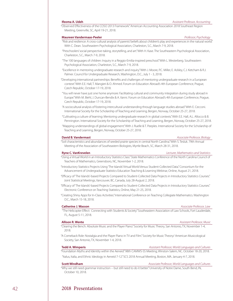"Observed Effectiveness of the COSO 2013 Framework." American Accounting Association 2018 Southeast Region Meeting, Greenville, SC, April 19-21, 2018.

### **Maureen Vandermaas-Peeler** *Professor, Psychology*

### "Risk and resilience: A cross-cultural analysis of parents' beliefs about children's play and experiences in the natural world." With C. Dean. Southeastern Psychological Association, Charleston, S.C., March 7-9, 2018.

- "Preschoolers' social perspective-taking, storytelling, and art." With H. Kase. The Southeastern Psychological Association, Charleston, S.C., March 7-9, 2018.
- "The 100 languages of children: Inquiry in a Reggio-Emilia-inspired preschool." With L. Westerberg. Southeastern Psychological Association, Charleston, S.C., March 7-9, 2018.
- "Excellence in mentoring undergraduate research and inquiry." With J. Moore, P.C. Miller, E. Ackley, C.J. Ketcham & R.J. Palmer. Council for Undergraduate Research, Washington, D.C., July 1 - 3, 2018.
- "Developing international partnerships: Benefits and challenges of mentoring undergraduate research in a European context." With E.E. Hall, T. Mangieri & O. Ahmed. Forum on Education Abroad's 4th European Conference, Prague, Czech Republic, October 17-19, 2018.
- "You will never have just one home anymore: Facilitating cultural and community integration during study abroad in Europe." With M. Biehl, J. Duncan-Bendix & A. Vanni. Forum on Education Abroad's 4th European Conference, Prague, Czech Republic, October 17-19, 2018.
- "A sociocultural analysis of fostering intercultural understanding through language studies abroad." With E. Cecconi. International Society for the Scholarship of Teaching and Learning, Bergen, Norway, October 25-27, 2018.
- "Cultivating a culture of learning: Mentoring undergraduate research in global contexts." With E.E. Hall, A.L. Allocco & B. Pennington. International Society for the Scholarship of Teaching and Learning, Bergen, Norway, October 25-27, 2018.
- "Mapping understandings of global engagement." With J. Ruelle & T. Peeples. International Society for the Scholarship of Teaching and Learning, Bergen, Norway, October 25-27, 2018.

### **David B. Vandermast** *Associate Professor, Biology*

"Soil characteristics and abundances of seeded prairie species in central North Carolina." With S. Tesluk. 79th Annual Meeting of the Association of Southeastern Biologists, Myrtle Beach, SC, March 28-31, 2018.

### **Ryne C. VanKrevelen** *Lecturer, Mathematics and Statistics*

- "Using a Virtual World in an Introductory Statistics Class." State Mathematics Conference of the North Carolina Council of Teachers of Mathematics, Greensboro, NC, November 1-2, 2018.
- "Introductory Statistics Projects Using 'The Islands' Virtual World Versus Student-Collected Data." Consortium for the Advancement of Undergraduate Statistics Education Teaching & Learning Webinar, Online, August 21, 2018.
- "Efficacy of 'The Islands'-based Projects Compared to Student-Collected Data Projects in Introductory Statistics Courses." Joint Statistical Meetings, Vancouver, BC, Canada, July 28-August 2, 2018.
- "Efficacy of 'The Islands'-based Projects Compared to Student-Collected Data Projects in Introductory Statistics Courses." Electronic Conference on Teaching Statistics, Online, May 21-25, 2018.
- "Creating Shiny Apps for In-Class Activities." International Conference on Teaching Collegiate Mathematics. Washington D.C., March 15-18, 2018.

### **Catherine J. Wasson** *Associate Professor, Law*

 "The Helicopter Effect: Connecting with Students & Society." Southeastern Association of Law Schools, Fort Lauderdale, FL, August 5-11, 2018.

- "Clearing the Bench: Absolute Music and the Player Piano." Society for Music Theory, San Antonio, TX, November 1-4, 2018.
- "A Comeback Role: Nostalgia and the Player Piano in TV and Film." Society for Music Theory/ American Musicological Society, San Antonio, TX, November 1-4, 2018.

### **Tedd A. Wimperis** *Assistant Professor, World Languages and Cultures*

## "Foundation Myths and Identity within the Aeneid." 98th CAMWS-SS Meeting, Winston-Salem, NC. October 18-20, 2018.

"Italus, Italia, and Ethnic Ideology in Aeneid 7-12." SCS 2018 Annual Meeting, Boston, MA. January 4-7, 2018.

October 10, 2018.

**Scott Windham** *Associate Professor, World Languages and Cultures*

"Why we still need grammar instruction -- but still need to do it better." University of Notre Dame, South Bend, IN,

### **Allison R. Wente** *Assistant Professor, Music*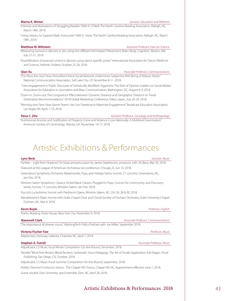# <span id="page-44-0"></span>"Interests and Motivations of Struggling Readers." With K. O'Neill. The North Carolina Reading Association, Raleigh, NC,

March 18th, 2018. "Using Literacy to Support Math Instruction." With E. Hone. The North Carolina Reading Association, Raleigh, NC, March 18th, 2018.

### **Matthew W. Wittstein** *Assistant Professor, Exercise Science*

"Measuring turnout in dancers in situ using two different techniques." Movement: Brain, Body, Cognition. Boston, MA, July 27-31, 2018.

"Quantification of postural control in dancers using dance specific poses." International Association for Dance Medicine and Science, Helsinki, Finland, October 25-28, 2018.

### **Qian Xu** *Associate Professor, Communications*

"The More the Less? How Diversified Online Social Network Undermines Subjective Well-Being of Mature Adults." National Communication Association, Salt Lake City, UT, November 8-11, 2018.

 "User engagement in Public Discourse of Genetically Modified Organisms: The Role of Opinion Leaders on Social Media." Association for Education in Journalism and Mass Communication, Washington, DC, August 6-9, 2018.

"Zoom-in, Zoom-out: The Congruence Effect between Dynamic Distance and Geographic Distance on Travel Destination Recommendations." 2018 Global Marketing Conference, Tokyo, Japan, July 26-29, 2018.

"Winning over Fans: How Sports Teams Use Live-Tweeting to Maximize Engagement." Broadcast Education Association, Las Vegas, NV, April, 7-10, 2018.

**Rena C. Zito** *Assistant Professor, Sociology and Anthropology*

"Institutional Anomie and Justification of Property Crime and Violence Cross-Nationally: A Multilevel Examination." American Society of Criminology. Atlanta, GA. November 14-17, 2018.

# Artistic Exhibitions & Performances

| <b>Lynn Beck</b>                                                                                                                                                            | Lecturer, Music                     |
|-----------------------------------------------------------------------------------------------------------------------------------------------------------------------------|-------------------------------------|
| "Fanfare – Light from Shadows" for brass and percussion by James Stephenson, producer, with J.R. Beck, Mar 30, 2018.                                                        |                                     |
| Featured at the League of American Orchestras tiol conference, Chicago, IL, Jun 14, 2018.                                                                                   |                                     |
| Greensboro Symphony Orchestra: Masterworks, Pops, and Holiday Series, hornist, 21 concerts, Greensboro, NC,<br>Jan-Dec 2018.                                                |                                     |
| Winston-Salem Symphony: Classics, Kicked-Back Classics, Plugged-In Pops, Concert for Community, and Discovery<br>Series, hornist, 17 concerts, Winston-Salem, Jan-Dec 2018. |                                     |
| Puccini's La bohème, hornist with Piedmont Opera, Winston-Salem, NC, Oct 26, 28 & 30, 2018.                                                                                 |                                     |
| Mendelssohn's Elijah, hornist with Duke Chapel Choir and Choral Society of Durham Orchestra, Duke University Chapel,<br>Durham, NC, Mar 4, 2018.                            |                                     |
| <b>Kevin Boyle</b>                                                                                                                                                          | Professor, English                  |
| Poetry Reading, Poets House, New York City, November 9, 2018.                                                                                                               |                                     |
| <b>Naeemah Clark</b>                                                                                                                                                        | Associate Professor, Communications |
| "The importance of diverse voices", WashingTech Policy Podcast with Joe Miller. September 2018.                                                                             |                                     |
| <b>Victoria Fischer Faw</b>                                                                                                                                                 | Professor, Music                    |
| Masterclass; Steinway Galleries, Charlotte NC, April 7, 2018.                                                                                                               |                                     |
| <b>Stephen A. Futrell</b>                                                                                                                                                   | Associate Professor, Music          |
| Adjudicator, CS Music Vocal Winter Competition On-line Round, December, 2018.                                                                                               |                                     |
| Panelist "Blind Peer Review (Book Review): Systematic Voice Pedagogy: The Art of Studio Application, Kari Ragan. Plural<br>Publishing, San Diego, CA, October, 2018.        |                                     |
| Adjudicator, CS Music Vocal Summer Competition On-line Round, September, 2018.                                                                                              |                                     |
| Artistic Director/Conductor, Voices - The Chapel Hill Chorus, Chapel Hill, NC, Appointment effective June 1, 2018.                                                          |                                     |

Guest vocalist, Elon University Jazz Ensemble, Elon, NC, April 28, 2018.

### **Marna K. Winter** *Lecturer, Education and Wellness*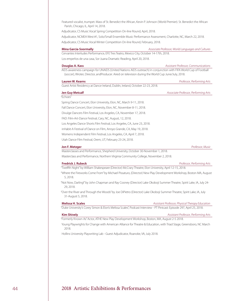Featured vocalist, trumpet. Mass of St. Benedict the African, Kevin P. Johnson (World Premier). St. Benedict the African Parish, Chicago, IL, April 14, 2018.

Adjudicator, CS Music Vocal Spring Competition On-line Round, April, 2018.

Los empeños de una casa, Sor Juana Dramatic Reading, April 20, 2018.

Adjudicator, NCMEA West #1, Solo/Small Ensemble Music Performance Assessment, Charlotte, NC, March 22, 2018. Adjudicator, CS Music Vocal Winter Competition On-line Round, February, 2018.

**Mina Garcia-Soormally** *Associate Professor, World Languages and Cultures*

Cervantes Interludes Performance, EFE Tres Teatro, Mexico City, October 14-17th, 2018.

**Douglas A. Kass** *Assistant Professor, Communications*

AIDS awareness campaign for UNAIDS (United Nations AIDS outreach) in conjunction with FIFA World Cup of Football (soccer), Wroter, Director, andProducer. Aired on television during the World Cup June/July, 2018.

### **Lauren W. Kearns** *Professor, Performing Arts*

Guest Artist Residency at Dance Ireland, Dublin, Ireland, October 22-23, 2018.

## **Jen Guy Metcalf** *Associate Professor, Performing Arts* "Echoes" Spring Dance Concert, Elon University, Elon, NC, March 9-11, 2018. Fall Dance Concert, Elon University, Elon, NC, November 8-11, 2018. Divulge Dancers Film Festival, Los Angeles, CA, November 17, 2018. FAD: Film-Art-Dance Festival, Cary, NC, August, 12, 2018. Los Angeles Dance Shorts Film Festival, Los Angeles, CA, June 23, 2018. inHabit-A Festival of Dance on Film, Arroyo Grande, CA, May 19, 2018. Womens Independent Film Festival, Los Angeles, CA, April 7, 2018. Utah Dance Film Festival, Orem, UT, February 23-24, 2018.

### **Jon F. Metzger** *Professor, Music*

Masterclasses and Performance, Shepherd University, October 30-November 1, 2018. Masterclass and Performance, Northern Virginia Community College, November 2, 2018.

**Fredrick J. Rubeck** *Professor, Performing Arts*

"Twelfth Night" by William Shakespeare (Director) McCrary Theatre, Elon University, April 12-15, 2018.

"Where the Fireworks Come From" by Michael Pissaturo, (Director) New Play Development Workshop, Boston MA, August 5, 2018.

"Not Now, Darling!" by John Chapman and Ray Cooney (Director) Lake Okoboji Summer Theatre, Spirit Lake, IA, July 24- 29, 2018.

"Over the River and Through the Woods" by Joe DiPietro (Director) Lake Okoboji Summer Theatre, Spirit Lake, IA, July 31-August 5, 2018.

**Melissa H. Scales** *Assistant Professor, Physical Therapy Education*

"Duke University's Corey Simon & Elon's Melissa Scales", Podcast Interview - PT Pintcast: Episode 297, April 25, 2018.

### **Kim Shively** *Assistant Professor, Performing Arts*

"Formerly Known As" Actor, ATHE New Play Development Workshop, Boston, MA, August 2-5 2018.

Young Playwrights for Change with American Alliance for Theatre & Education, with Triad Stage, Greensboro, NC March 2018.

Hollins University Playwriting Lab - Guest Adjudicator, Roanoke, VA, July 2018.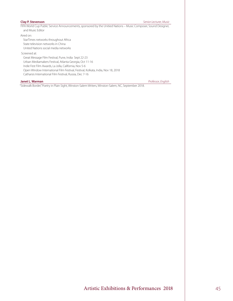**Clay P. Stevenson** *Senior Lecturer, Music*

FIFA World Cup Public Service Announcements, sponsored by the Unitied Nations – Music Composer, Sound Designer, and Music Editor

Aired on:

StarTimes networks throughout Africa State television networks in China

United Nations social media networks

### Screened at:

Great Message Film Festival, Pune, India Sept 22-23 Urban Mediamakers Festival, Atlanta Georgia, Oct 11-16 Indie Fest Film Awards, La Jolla, California, Nov 5-6

Open Window International Film Festival, Festival, Kolkata, India, Nov 18, 2018

Catharsis International Film Festival, Russia, Dec 7-16

### **Janet L. Warman** *Professor, English*

"Sidewalk Border," Poetry in Plain Sight, Winston-Salem Writers, Winston-Salem, NC, September 2018.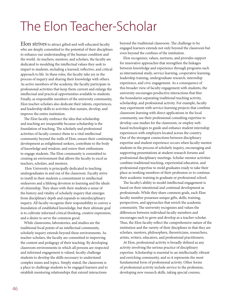# <span id="page-47-0"></span>The Elon Teacher-Scholar

Elon strives to attract gifted and well-educated faculty who are deeply committed to the potential of their disciplines to enhance our understanding of the human condition and the world. As teachers, mentors, and scholars, the faculty are dedicated to modeling the intellectual values they seek to impart to students, including a learned, reflective, and critical approach to life. In these roles, the faculty take joy in the process of inquiry and sharing their knowledge with others. As active members of the academy, the faculty participate in professional activities that keep them current and enlarge the intellectual and practical opportunities available to students. Finally, as responsible members of the university community, Elon teacher-scholars also dedicate their talents, experiences, and leadership skills to activities that sustain, develop, and improve the entire institution.

The Elon faculty embrace the idea that scholarship and teaching are inseparable because scholarship is the foundation of teaching. The scholarly and professional activities of faculty connect them to a vital intellectual community beyond the walls of Elon, ensure their continuing development as enlightened seekers, contribute to the body of knowledge and wisdom, and renew their enthusiasm to engage students. The Elon community is committed to creating an environment that allows the faculty to excel as teachers, scholars, and mentors.

 Elon University is principally dedicated to teaching undergraduates in and out of the classroom. Faculty strive to instill in their students a commitment to intellectual endeavors and a lifelong devotion to learning and the ideals of citizenship. They share with their students a sense of the history and vitality of scholarly inquiry that emerges from disciplinary depth and expands to interdisciplinary inquiry. All faculty recognize their responsibility to convey a foundation of established knowledge, but their ultimate goal is to cultivate informed critical thinking, creative expression, and a desire to serve the common good.

While classrooms, laboratories, and studios are the traditional focal points of an intellectual community, scholarly inquiry extends beyond these environments. As teacher-scholars, the faculty are committed to improving the content and pedagogy of their teaching. By developing classroom environments in which all persons are respected and informed engagement is valued, faculty challenge students to develop the skills necessary to understand complex issues and topics. Simply stated, the classroom is a place to challenge students to be engaged learners and to establish mentoring relationships that extend interactions

beyond the traditional classroom. The challenge to be engaged learners extends not only beyond the classroom but even beyond the confines of the institution.

Elon recognizes, values, nurtures, and provides support for innovative approaches that strengthen the linkages between knowledge and experience through programs such as international study, service learning, cooperative learning, leadership training, undergraduate research, internship experience, and civic engagement. As a consequence of this broader view of faculty engagement with students, the university encourages productive interactions that blur the boundaries separating traditional teaching activity, scholarship, and professional activity. For example, faculty may experiment with service-learning projects that combine classroom learning with direct applications in the local community, use their professional consulting expertise to develop case studies for the classroom, or employ webbased technologies to guide and enhance student internship experiences with employers located across the country. One of the strongest connections between disciplinary expertise and student experience occurs when faculty mentor students in the process of scholarly inquiry, encouraging and supporting presentations at student research forums and professional disciplinary meetings. Scholar-mentor activities combine traditional teaching, experiential education, and professional expertise to mold graduates ready to take their place as working members of their profession or to continue their academic training in graduate or professional school.

The faculty's ability to model intellectual engagement is based on their intentional and continual development as professionals. While they share common goals, each Elon faculty member possesses unique gifts, skills, training, perspectives, and approaches that enrich the academic community. The university recognizes and values the differences between individual faculty members and encourages each to grow and develop as a teacher-scholar. Thus, the Elon faculty reflect the comprehensive nature of the institution and the variety of their disciplines in that they are scholars, mentors, philosophers, theoreticians, researchers, artists, writers, educators, and professional practitioners.

At Elon, professional activity is broadly defined as any activity involving the serious practice of disciplinary expertise. Scholarship is essential to an intellectually vibrant and enriching community, and so it represents the most fundamental form of professional activity. Other forms of professional activity include service to the profession, developing new research skills, taking special courses,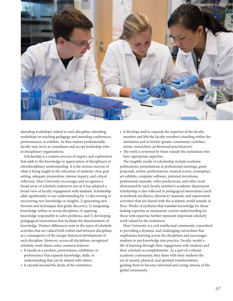

attending workshops related to one's discipline, attending workshops on teaching pedagogy and attending conferences, performances, or exhibits. As they mature professionally, faculty may serve as consultants and accept leadership roles in disciplinary organizations.

Scholarship is a creative process of inquiry and exploration that adds to the knowledge or appreciation of disciplinary or interdisciplinary understanding. It is the serious exercise of what is being taught in the education of students: clear goal setting, adequate preparation, intense inquiry, and critical reflection. Elon University encourages and recognizes a broad array of scholarly endeavors just as it has adopted a broad view of faculty engagement with students. Scholarship adds significantly to our understanding by: 1) discovering or uncovering new knowledge or insights, 2) generating new theories and techniques that guide discovery, 3) integrating knowledge within or across disciplines, 4) applying knowledge responsibly to solve problems, and 5) developing pedagogical innovations that facilitate the dissemination of knowledge. Distinct differences exist in the types of scholarly activities that are valued both within and between disciplines as a consequence of the unique historical development of each discipline. However, across all disciplines, recognized scholarly work shares some common features:

- It results in a product, presentation, exhibition, or performance that expands knowledge, skills, or understanding that can be shared with others.
- It extends beyond the limits of the institution.
- It develops and/or expands the expertise of the faculty member and lifts the faculty member's standing within the institution and in his/her greater community (scholars, artists, researchers, professional practitioners).
- The work is reviewed by those outside the institution who have appropriate expertise.

The tangible results of scholarship include academic publications, presentations at professional meetings, grant proposals, artistic performances, musical scores, screenplays, art exhibits, computer software, patented inventions, professional manuals, video productions, and other work determined by each faculty member's academic department. Scholarship is also reflected in pedagogical innovations (such as textbook ancillaries, laboratory manuals, and experiential activities) that are shared with the academic world outside of Elon. Works of synthesis that translate knowledge for those lacking expertise or summarize current understanding for those with expertise further represent important scholarly work valued by the institution.

Elon University is a rich intellectual community committed to providing a dynamic and challenging curriculum that emphasizes learning across the disciplines and encourages students to put knowledge into practice. Faculty model a life of learning through their engagement with students and their scholarly accomplishments. As a part of a vibrant academic community, they share with their students the joy of mental, physical, and spiritual transformation, guiding them to become informed and caring citizens of the global community.